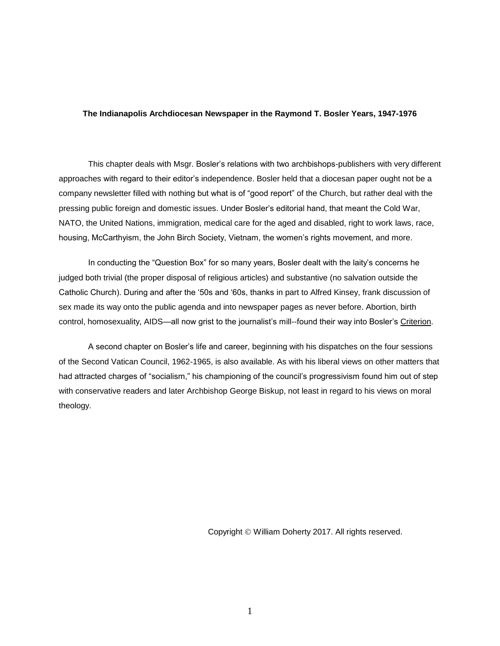## **The Indianapolis Archdiocesan Newspaper in the Raymond T. Bosler Years, 1947-1976**

This chapter deals with Msgr. Bosler's relations with two archbishops-publishers with very different approaches with regard to their editor's independence. Bosler held that a diocesan paper ought not be a company newsletter filled with nothing but what is of "good report" of the Church, but rather deal with the pressing public foreign and domestic issues. Under Bosler's editorial hand, that meant the Cold War, NATO, the United Nations, immigration, medical care for the aged and disabled, right to work laws, race, housing, McCarthyism, the John Birch Society, Vietnam, the women's rights movement, and more.

In conducting the "Question Box" for so many years, Bosler dealt with the laity's concerns he judged both trivial (the proper disposal of religious articles) and substantive (no salvation outside the Catholic Church). During and after the '50s and '60s, thanks in part to Alfred Kinsey, frank discussion of sex made its way onto the public agenda and into newspaper pages as never before. Abortion, birth control, homosexuality, AIDS—all now grist to the journalist's mill--found their way into Bosler's Criterion.

A second chapter on Bosler's life and career, beginning with his dispatches on the four sessions of the Second Vatican Council, 1962-1965, is also available. As with his liberal views on other matters that had attracted charges of "socialism," his championing of the council's progressivism found him out of step with conservative readers and later Archbishop George Biskup, not least in regard to his views on moral theology.

Copyright © William Doherty 2017. All rights reserved.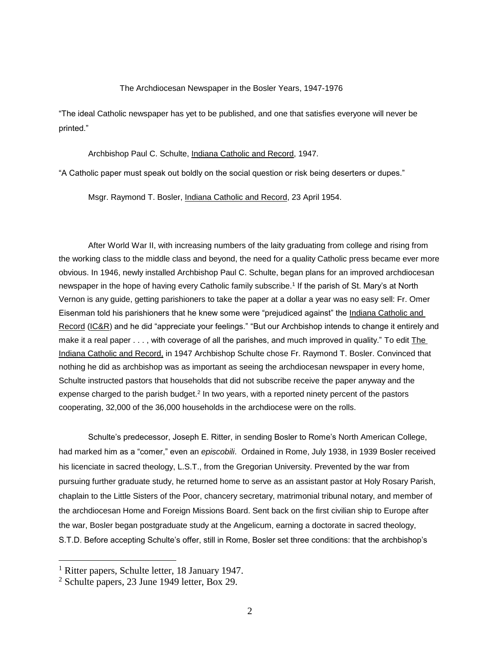## The Archdiocesan Newspaper in the Bosler Years, 1947-1976

"The ideal Catholic newspaper has yet to be published, and one that satisfies everyone will never be printed."

Archbishop Paul C. Schulte, Indiana Catholic and Record, 1947.

"A Catholic paper must speak out boldly on the social question or risk being deserters or dupes."

Msgr. Raymond T. Bosler, Indiana Catholic and Record, 23 April 1954.

After World War II, with increasing numbers of the laity graduating from college and rising from the working class to the middle class and beyond, the need for a quality Catholic press became ever more obvious. In 1946, newly installed Archbishop Paul C. Schulte, began plans for an improved archdiocesan newspaper in the hope of having every Catholic family subscribe.<sup>1</sup> If the parish of St. Mary's at North Vernon is any guide, getting parishioners to take the paper at a dollar a year was no easy sell: Fr. Omer Eisenman told his parishioners that he knew some were "prejudiced against" the Indiana Catholic and Record (IC&R) and he did "appreciate your feelings." "But our Archbishop intends to change it entirely and make it a real paper . . . , with coverage of all the parishes, and much improved in quality." To edit The Indiana Catholic and Record, in 1947 Archbishop Schulte chose Fr. Raymond T. Bosler. Convinced that nothing he did as archbishop was as important as seeing the archdiocesan newspaper in every home, Schulte instructed pastors that households that did not subscribe receive the paper anyway and the expense charged to the parish budget.<sup>2</sup> In two years, with a reported ninety percent of the pastors cooperating, 32,000 of the 36,000 households in the archdiocese were on the rolls.

Schulte's predecessor, Joseph E. Ritter, in sending Bosler to Rome's North American College, had marked him as a "comer," even an *episcobili*. Ordained in Rome, July 1938, in 1939 Bosler received his licenciate in sacred theology, L.S.T., from the Gregorian University. Prevented by the war from pursuing further graduate study, he returned home to serve as an assistant pastor at Holy Rosary Parish, chaplain to the Little Sisters of the Poor, chancery secretary, matrimonial tribunal notary, and member of the archdiocesan Home and Foreign Missions Board. Sent back on the first civilian ship to Europe after the war, Bosler began postgraduate study at the Angelicum, earning a doctorate in sacred theology, S.T.D. Before accepting Schulte's offer, still in Rome, Bosler set three conditions: that the archbishop's

<sup>1</sup> Ritter papers, Schulte letter, 18 January 1947.

<sup>2</sup> Schulte papers, 23 June 1949 letter, Box 29.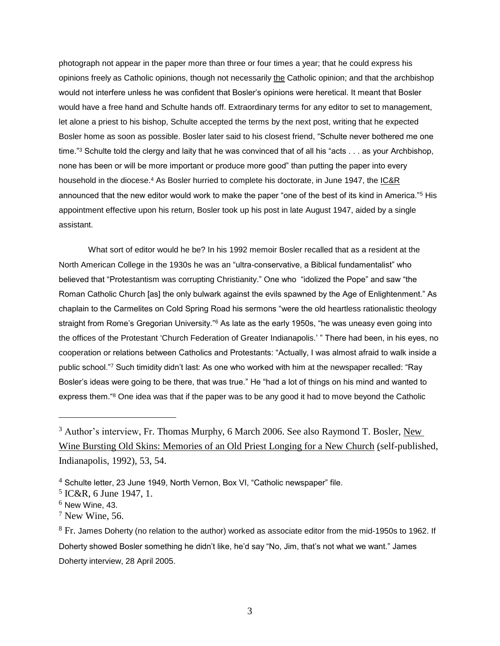photograph not appear in the paper more than three or four times a year; that he could express his opinions freely as Catholic opinions, though not necessarily the Catholic opinion; and that the archbishop would not interfere unless he was confident that Bosler's opinions were heretical. It meant that Bosler would have a free hand and Schulte hands off. Extraordinary terms for any editor to set to management, let alone a priest to his bishop, Schulte accepted the terms by the next post, writing that he expected Bosler home as soon as possible. Bosler later said to his closest friend, "Schulte never bothered me one time."<sup>3</sup> Schulte told the clergy and laity that he was convinced that of all his "acts . . . as your Archbishop, none has been or will be more important or produce more good" than putting the paper into every household in the diocese.<sup>4</sup> As Bosler hurried to complete his doctorate, in June 1947, the IC&R announced that the new editor would work to make the paper "one of the best of its kind in America."<sup>5</sup> His appointment effective upon his return, Bosler took up his post in late August 1947, aided by a single assistant.

What sort of editor would he be? In his 1992 memoir Bosler recalled that as a resident at the North American College in the 1930s he was an "ultra-conservative, a Biblical fundamentalist" who believed that "Protestantism was corrupting Christianity." One who "idolized the Pope" and saw "the Roman Catholic Church [as] the only bulwark against the evils spawned by the Age of Enlightenment." As chaplain to the Carmelites on Cold Spring Road his sermons "were the old heartless rationalistic theology straight from Rome's Gregorian University."<sup>6</sup> As late as the early 1950s, "he was uneasy even going into the offices of the Protestant 'Church Federation of Greater Indianapolis.' " There had been, in his eyes, no cooperation or relations between Catholics and Protestants: "Actually, I was almost afraid to walk inside a public school."<sup>7</sup> Such timidity didn't last: As one who worked with him at the newspaper recalled: "Ray Bosler's ideas were going to be there, that was true." He "had a lot of things on his mind and wanted to express them."<sup>8</sup> One idea was that if the paper was to be any good it had to move beyond the Catholic

<sup>&</sup>lt;sup>3</sup> Author's interview, Fr. Thomas Murphy, 6 March 2006. See also Raymond T. Bosler, New Wine Bursting Old Skins: Memories of an Old Priest Longing for a New Church (self-published, Indianapolis, 1992), 53, 54.

 $4$  Schulte letter, 23 June 1949, North Vernon, Box VI, "Catholic newspaper" file.

<sup>5</sup> IC&R, 6 June 1947, 1.

 $<sup>6</sup>$  New Wine, 43.</sup>

 $7$  New Wine, 56.

 $8$  Fr. James Doherty (no relation to the author) worked as associate editor from the mid-1950s to 1962. If Doherty showed Bosler something he didn't like, he'd say "No, Jim, that's not what we want." James Doherty interview, 28 April 2005.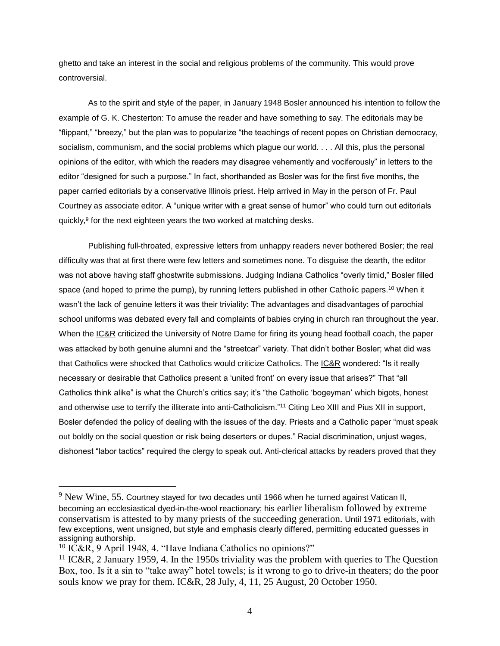ghetto and take an interest in the social and religious problems of the community. This would prove controversial.

As to the spirit and style of the paper, in January 1948 Bosler announced his intention to follow the example of G. K. Chesterton: To amuse the reader and have something to say. The editorials may be "flippant," "breezy," but the plan was to popularize "the teachings of recent popes on Christian democracy, socialism, communism, and the social problems which plague our world. . . . All this, plus the personal opinions of the editor, with which the readers may disagree vehemently and vociferously" in letters to the editor "designed for such a purpose." In fact, shorthanded as Bosler was for the first five months, the paper carried editorials by a conservative Illinois priest. Help arrived in May in the person of Fr. Paul Courtney as associate editor. A "unique writer with a great sense of humor" who could turn out editorials quickly, 9 for the next eighteen years the two worked at matching desks.

Publishing full-throated, expressive letters from unhappy readers never bothered Bosler; the real difficulty was that at first there were few letters and sometimes none. To disguise the dearth, the editor was not above having staff ghostwrite submissions. Judging Indiana Catholics "overly timid," Bosler filled space (and hoped to prime the pump), by running letters published in other Catholic papers.<sup>10</sup> When it wasn't the lack of genuine letters it was their triviality: The advantages and disadvantages of parochial school uniforms was debated every fall and complaints of babies crying in church ran throughout the year. When the IC&R criticized the University of Notre Dame for firing its young head football coach, the paper was attacked by both genuine alumni and the "streetcar" variety. That didn't bother Bosler; what did was that Catholics were shocked that Catholics would criticize Catholics. The IC&R wondered: "Is it really necessary or desirable that Catholics present a 'united front' on every issue that arises?" That "all Catholics think alike" is what the Church's critics say; it's "the Catholic 'bogeyman' which bigots, honest and otherwise use to terrify the illiterate into anti-Catholicism."<sup>11</sup> Citing Leo XIII and Pius XII in support, Bosler defended the policy of dealing with the issues of the day. Priests and a Catholic paper "must speak out boldly on the social question or risk being deserters or dupes." Racial discrimination, unjust wages, dishonest "labor tactics" required the clergy to speak out. Anti-clerical attacks by readers proved that they

 $9$  New Wine, 55. Courtney stayed for two decades until 1966 when he turned against Vatican II, becoming an ecclesiastical dyed-in-the-wool reactionary; his earlier liberalism followed by extreme conservatism is attested to by many priests of the succeeding generation. Until 1971 editorials, with few exceptions, went unsigned, but style and emphasis clearly differed, permitting educated guesses in assigning authorship.

<sup>10</sup> IC&R, 9 April 1948, 4. "Have Indiana Catholics no opinions?"

<sup>&</sup>lt;sup>11</sup> IC&R, 2 January 1959, 4. In the 1950s triviality was the problem with queries to The Question Box, too. Is it a sin to "take away" hotel towels; is it wrong to go to drive-in theaters; do the poor souls know we pray for them. IC&R, 28 July, 4, 11, 25 August, 20 October 1950.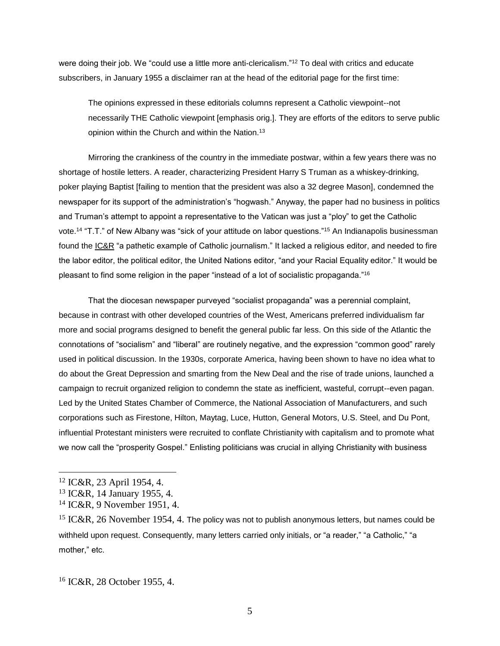were doing their job. We "could use a little more anti-clericalism."<sup>12</sup> To deal with critics and educate subscribers, in January 1955 a disclaimer ran at the head of the editorial page for the first time:

The opinions expressed in these editorials columns represent a Catholic viewpoint--not necessarily THE Catholic viewpoint [emphasis orig.]. They are efforts of the editors to serve public opinion within the Church and within the Nation.<sup>13</sup>

Mirroring the crankiness of the country in the immediate postwar, within a few years there was no shortage of hostile letters. A reader, characterizing President Harry S Truman as a whiskey-drinking, poker playing Baptist [failing to mention that the president was also a 32 degree Mason], condemned the newspaper for its support of the administration's "hogwash." Anyway, the paper had no business in politics and Truman's attempt to appoint a representative to the Vatican was just a "ploy" to get the Catholic vote.<sup>14</sup> "T.T." of New Albany was "sick of your attitude on labor questions."<sup>15</sup> An Indianapolis businessman found the IC&R "a pathetic example of Catholic journalism." It lacked a religious editor, and needed to fire the labor editor, the political editor, the United Nations editor, "and your Racial Equality editor." It would be pleasant to find some religion in the paper "instead of a lot of socialistic propaganda."<sup>16</sup>

That the diocesan newspaper purveyed "socialist propaganda" was a perennial complaint, because in contrast with other developed countries of the West, Americans preferred individualism far more and social programs designed to benefit the general public far less. On this side of the Atlantic the connotations of "socialism" and "liberal" are routinely negative, and the expression "common good" rarely used in political discussion. In the 1930s, corporate America, having been shown to have no idea what to do about the Great Depression and smarting from the New Deal and the rise of trade unions, launched a campaign to recruit organized religion to condemn the state as inefficient, wasteful, corrupt--even pagan. Led by the United States Chamber of Commerce, the National Association of Manufacturers, and such corporations such as Firestone, Hilton, Maytag, Luce, Hutton, General Motors, U.S. Steel, and Du Pont, influential Protestant ministers were recruited to conflate Christianity with capitalism and to promote what we now call the "prosperity Gospel." Enlisting politicians was crucial in allying Christianity with business

<sup>12</sup> IC&R, 23 April 1954, 4.

<sup>13</sup> IC&R, 14 January 1955, 4.

<sup>14</sup> IC&R, 9 November 1951, 4.

<sup>&</sup>lt;sup>15</sup> IC&R, 26 November 1954, 4. The policy was not to publish anonymous letters, but names could be withheld upon request. Consequently, many letters carried only initials, or "a reader," "a Catholic," "a mother," etc.

<sup>16</sup> IC&R, 28 October 1955, 4.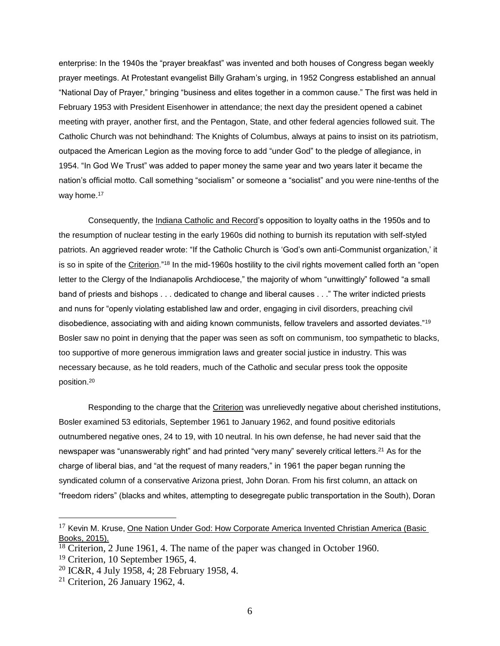enterprise: In the 1940s the "prayer breakfast" was invented and both houses of Congress began weekly prayer meetings. At Protestant evangelist Billy Graham's urging, in 1952 Congress established an annual "National Day of Prayer," bringing "business and elites together in a common cause." The first was held in February 1953 with President Eisenhower in attendance; the next day the president opened a cabinet meeting with prayer, another first, and the Pentagon, State, and other federal agencies followed suit. The Catholic Church was not behindhand: The Knights of Columbus, always at pains to insist on its patriotism, outpaced the American Legion as the moving force to add "under God" to the pledge of allegiance, in 1954. "In God We Trust" was added to paper money the same year and two years later it became the nation's official motto. Call something "socialism" or someone a "socialist" and you were nine-tenths of the way home.<sup>17</sup>

Consequently, the Indiana Catholic and Record's opposition to loyalty oaths in the 1950s and to the resumption of nuclear testing in the early 1960s did nothing to burnish its reputation with self-styled patriots. An aggrieved reader wrote: "If the Catholic Church is 'God's own anti-Communist organization,' it is so in spite of the Criterion."<sup>18</sup> In the mid-1960s hostility to the civil rights movement called forth an "open letter to the Clergy of the Indianapolis Archdiocese," the majority of whom "unwittingly" followed "a small band of priests and bishops . . . dedicated to change and liberal causes . . ." The writer indicted priests and nuns for "openly violating established law and order, engaging in civil disorders, preaching civil disobedience, associating with and aiding known communists, fellow travelers and assorted deviates."<sup>19</sup> Bosler saw no point in denying that the paper was seen as soft on communism, too sympathetic to blacks, too supportive of more generous immigration laws and greater social justice in industry. This was necessary because, as he told readers, much of the Catholic and secular press took the opposite position.<sup>20</sup>

Responding to the charge that the Criterion was unrelievedly negative about cherished institutions, Bosler examined 53 editorials, September 1961 to January 1962, and found positive editorials outnumbered negative ones, 24 to 19, with 10 neutral. In his own defense, he had never said that the newspaper was "unanswerably right" and had printed "very many" severely critical letters.<sup>21</sup> As for the charge of liberal bias, and "at the request of many readers," in 1961 the paper began running the syndicated column of a conservative Arizona priest, John Doran. From his first column, an attack on "freedom riders" (blacks and whites, attempting to desegregate public transportation in the South), Doran

<sup>&</sup>lt;sup>17</sup> Kevin M. Kruse, One Nation Under God: How Corporate America Invented Christian America (Basic Books, 2015).

<sup>18</sup> Criterion, 2 June 1961, 4. The name of the paper was changed in October 1960.

 $19$  Criterion, 10 September 1965, 4.

<sup>20</sup> IC&R, 4 July 1958, 4; 28 February 1958, 4.

 $21$  Criterion, 26 January 1962, 4.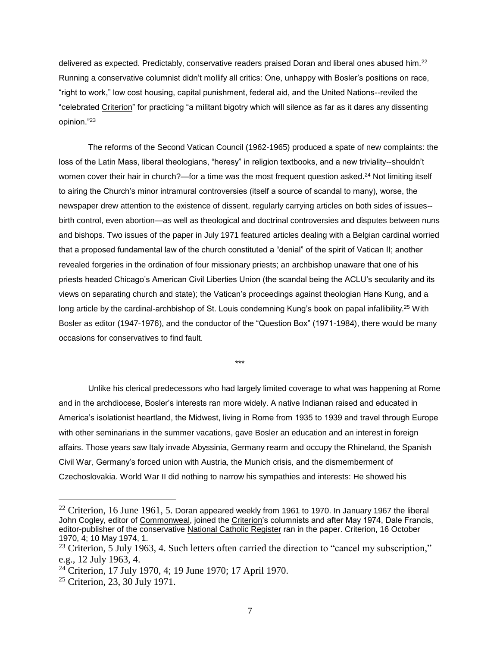delivered as expected. Predictably, conservative readers praised Doran and liberal ones abused him.<sup>22</sup> Running a conservative columnist didn't mollify all critics: One, unhappy with Bosler's positions on race, "right to work," low cost housing, capital punishment, federal aid, and the United Nations--reviled the "celebrated Criterion" for practicing "a militant bigotry which will silence as far as it dares any dissenting opinion."<sup>23</sup>

The reforms of the Second Vatican Council (1962-1965) produced a spate of new complaints: the loss of the Latin Mass, liberal theologians, "heresy" in religion textbooks, and a new triviality--shouldn't women cover their hair in church?—for a time was the most frequent question asked.<sup>24</sup> Not limiting itself to airing the Church's minor intramural controversies (itself a source of scandal to many), worse, the newspaper drew attention to the existence of dissent, regularly carrying articles on both sides of issues- birth control, even abortion—as well as theological and doctrinal controversies and disputes between nuns and bishops. Two issues of the paper in July 1971 featured articles dealing with a Belgian cardinal worried that a proposed fundamental law of the church constituted a "denial" of the spirit of Vatican II; another revealed forgeries in the ordination of four missionary priests; an archbishop unaware that one of his priests headed Chicago's American Civil Liberties Union (the scandal being the ACLU's secularity and its views on separating church and state); the Vatican's proceedings against theologian Hans Kung, and a long article by the cardinal-archbishop of St. Louis condemning Kung's book on papal infallibility.<sup>25</sup> With Bosler as editor (1947-1976), and the conductor of the "Question Box" (1971-1984), there would be many occasions for conservatives to find fault.

\*\*\*

Unlike his clerical predecessors who had largely limited coverage to what was happening at Rome and in the archdiocese, Bosler's interests ran more widely. A native Indianan raised and educated in America's isolationist heartland, the Midwest, living in Rome from 1935 to 1939 and travel through Europe with other seminarians in the summer vacations, gave Bosler an education and an interest in foreign affairs. Those years saw Italy invade Abyssinia, Germany rearm and occupy the Rhineland, the Spanish Civil War, Germany's forced union with Austria, the Munich crisis, and the dismemberment of Czechoslovakia. World War II did nothing to narrow his sympathies and interests: He showed his

 $22$  Criterion, 16 June 1961, 5. Doran appeared weekly from 1961 to 1970. In January 1967 the liberal John Cogley, editor of Commonweal, joined the Criterion's columnists and after May 1974, Dale Francis, editor-publisher of the conservative National Catholic Register ran in the paper. Criterion, 16 October 1970, 4; 10 May 1974, 1.

<sup>&</sup>lt;sup>23</sup> Criterion, 5 July 1963, 4. Such letters often carried the direction to "cancel my subscription," e.g., 12 July 1963, 4.

<sup>24</sup> Criterion, 17 July 1970, 4; 19 June 1970; 17 April 1970.

<sup>25</sup> Criterion, 23, 30 July 1971.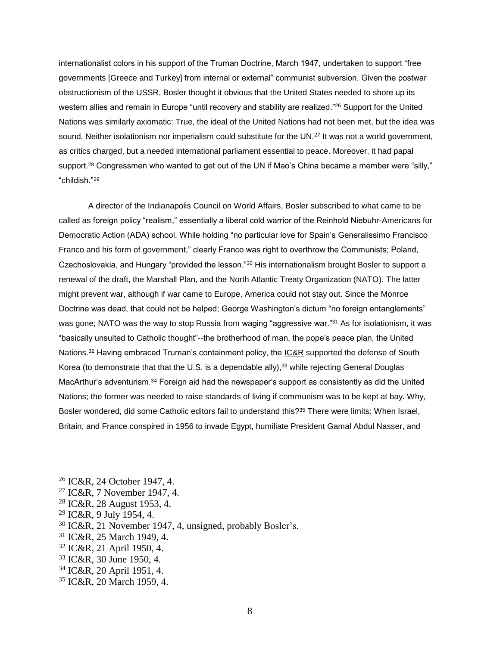internationalist colors in his support of the Truman Doctrine, March 1947, undertaken to support "free governments [Greece and Turkey] from internal or external" communist subversion. Given the postwar obstructionism of the USSR, Bosler thought it obvious that the United States needed to shore up its western allies and remain in Europe "until recovery and stability are realized."<sup>26</sup> Support for the United Nations was similarly axiomatic: True, the ideal of the United Nations had not been met, but the idea was sound. Neither isolationism nor imperialism could substitute for the UN.<sup>27</sup> It was not a world government, as critics charged, but a needed international parliament essential to peace. Moreover, it had papal support.<sup>28</sup> Congressmen who wanted to get out of the UN if Mao's China became a member were "silly," "childish."<sup>29</sup>

A director of the Indianapolis Council on World Affairs, Bosler subscribed to what came to be called as foreign policy "realism," essentially a liberal cold warrior of the Reinhold Niebuhr-Americans for Democratic Action (ADA) school. While holding "no particular love for Spain's Generalissimo Francisco Franco and his form of government," clearly Franco was right to overthrow the Communists; Poland, Czechoslovakia, and Hungary "provided the lesson."<sup>30</sup> His internationalism brought Bosler to support a renewal of the draft, the Marshall Plan, and the North Atlantic Treaty Organization (NATO). The latter might prevent war, although if war came to Europe, America could not stay out. Since the Monroe Doctrine was dead, that could not be helped; George Washington's dictum "no foreign entanglements" was gone; NATO was the way to stop Russia from waging "aggressive war."<sup>31</sup> As for isolationism, it was "basically unsuited to Catholic thought"--the brotherhood of man, the pope's peace plan, the United Nations.<sup>32</sup> Having embraced Truman's containment policy, the IC&R supported the defense of South Korea (to demonstrate that that the U.S. is a dependable ally),<sup>33</sup> while rejecting General Douglas MacArthur's adventurism.<sup>34</sup> Foreign aid had the newspaper's support as consistently as did the United Nations; the former was needed to raise standards of living if communism was to be kept at bay. Why, Bosler wondered, did some Catholic editors fail to understand this?<sup>35</sup> There were limits: When Israel, Britain, and France conspired in 1956 to invade Egypt, humiliate President Gamal Abdul Nasser, and

 $29$  IC&R, 9 July 1954, 4.

- <sup>30</sup> IC&R, 21 November 1947, 4, unsigned, probably Bosler's.
- <sup>31</sup> IC&R, 25 March 1949, 4.
- <sup>32</sup> IC&R, 21 April 1950, 4.
- <sup>33</sup> IC&R, 30 June 1950, 4.
- <sup>34</sup> IC&R, 20 April 1951, 4.
- <sup>35</sup> IC&R, 20 March 1959, 4.

<sup>26</sup> IC&R, 24 October 1947, 4.

<sup>27</sup> IC&R, 7 November 1947, 4.

<sup>28</sup> IC&R, 28 August 1953, 4.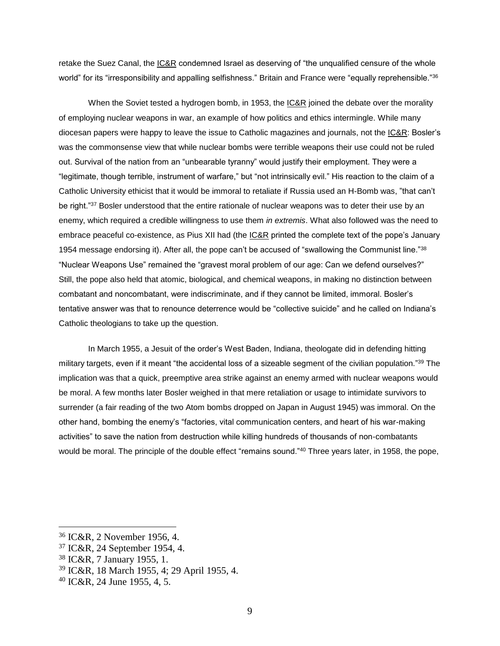retake the Suez Canal, the **IC&R** condemned Israel as deserving of "the unqualified censure of the whole world" for its "irresponsibility and appalling selfishness." Britain and France were "equally reprehensible."36

When the Soviet tested a hydrogen bomb, in 1953, the IC&R joined the debate over the morality of employing nuclear weapons in war, an example of how politics and ethics intermingle. While many diocesan papers were happy to leave the issue to Catholic magazines and journals, not the IC&R: Bosler's was the commonsense view that while nuclear bombs were terrible weapons their use could not be ruled out. Survival of the nation from an "unbearable tyranny" would justify their employment. They were a "legitimate, though terrible, instrument of warfare," but "not intrinsically evil." His reaction to the claim of a Catholic University ethicist that it would be immoral to retaliate if Russia used an H-Bomb was, "that can't be right."37 Bosler understood that the entire rationale of nuclear weapons was to deter their use by an enemy, which required a credible willingness to use them *in extremis*. What also followed was the need to embrace peaceful co-existence, as Pius XII had (the **IC&R** printed the complete text of the pope's January 1954 message endorsing it). After all, the pope can't be accused of "swallowing the Communist line."<sup>38</sup> "Nuclear Weapons Use" remained the "gravest moral problem of our age: Can we defend ourselves?" Still, the pope also held that atomic, biological, and chemical weapons, in making no distinction between combatant and noncombatant, were indiscriminate, and if they cannot be limited, immoral. Bosler's tentative answer was that to renounce deterrence would be "collective suicide" and he called on Indiana's Catholic theologians to take up the question.

In March 1955, a Jesuit of the order's West Baden, Indiana, theologate did in defending hitting military targets, even if it meant "the accidental loss of a sizeable segment of the civilian population."<sup>39</sup> The implication was that a quick, preemptive area strike against an enemy armed with nuclear weapons would be moral. A few months later Bosler weighed in that mere retaliation or usage to intimidate survivors to surrender (a fair reading of the two Atom bombs dropped on Japan in August 1945) was immoral. On the other hand, bombing the enemy's "factories, vital communication centers, and heart of his war-making activities" to save the nation from destruction while killing hundreds of thousands of non-combatants would be moral. The principle of the double effect "remains sound."<sup>40</sup> Three years later, in 1958, the pope,

<sup>36</sup> IC&R, 2 November 1956, 4.

<sup>37</sup> IC&R, 24 September 1954, 4.

<sup>38</sup> IC&R, 7 January 1955, 1.

<sup>39</sup> IC&R, 18 March 1955, 4; 29 April 1955, 4.

 $40$  IC&R, 24 June 1955, 4, 5.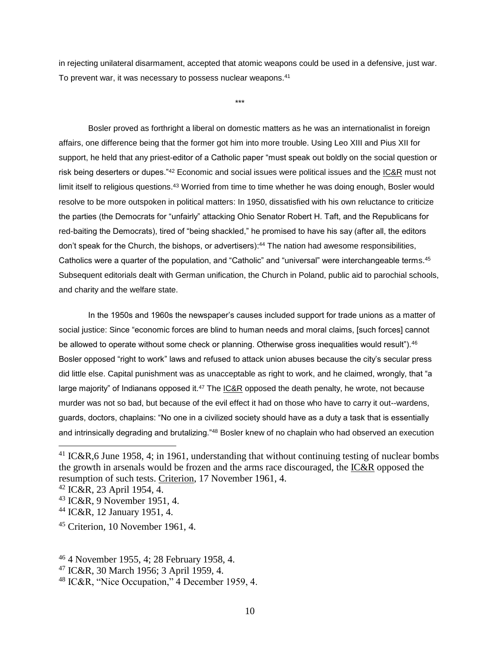in rejecting unilateral disarmament, accepted that atomic weapons could be used in a defensive, just war. To prevent war, it was necessary to possess nuclear weapons.<sup>41</sup>

\*\*\*

Bosler proved as forthright a liberal on domestic matters as he was an internationalist in foreign affairs, one difference being that the former got him into more trouble. Using Leo XIII and Pius XII for support, he held that any priest-editor of a Catholic paper "must speak out boldly on the social question or risk being deserters or dupes."<sup>42</sup> Economic and social issues were political issues and the IC&R must not limit itself to religious questions.<sup>43</sup> Worried from time to time whether he was doing enough, Bosler would resolve to be more outspoken in political matters: In 1950, dissatisfied with his own reluctance to criticize the parties (the Democrats for "unfairly" attacking Ohio Senator Robert H. Taft, and the Republicans for red-baiting the Democrats), tired of "being shackled," he promised to have his say (after all, the editors don't speak for the Church, the bishops, or advertisers): <sup>44</sup> The nation had awesome responsibilities, Catholics were a quarter of the population, and "Catholic" and "universal" were interchangeable terms.<sup>45</sup> Subsequent editorials dealt with German unification, the Church in Poland, public aid to parochial schools, and charity and the welfare state.

In the 1950s and 1960s the newspaper's causes included support for trade unions as a matter of social justice: Since "economic forces are blind to human needs and moral claims, [such forces] cannot be allowed to operate without some check or planning. Otherwise gross inequalities would result").<sup>46</sup> Bosler opposed "right to work" laws and refused to attack union abuses because the city's secular press did little else. Capital punishment was as unacceptable as right to work, and he claimed, wrongly, that "a large majority" of Indianans opposed it.<sup>47</sup> The  $IC&R$  opposed the death penalty, he wrote, not because</u> murder was not so bad, but because of the evil effect it had on those who have to carry it out--wardens, guards, doctors, chaplains: "No one in a civilized society should have as a duty a task that is essentially and intrinsically degrading and brutalizing."<sup>48</sup> Bosler knew of no chaplain who had observed an execution

<sup>&</sup>lt;sup>41</sup> IC&R,6 June 1958, 4; in 1961, understanding that without continuing testing of nuclear bombs the growth in arsenals would be frozen and the arms race discouraged, the IC&R opposed the resumption of such tests. Criterion, 17 November 1961, 4.

<sup>42</sup> IC&R, 23 April 1954, 4.

<sup>43</sup> IC&R, 9 November 1951, 4.

<sup>44</sup> IC&R, 12 January 1951, 4.

<sup>45</sup> Criterion, 10 November 1961, 4.

<sup>46</sup> 4 November 1955, 4; 28 February 1958, 4.

<sup>47</sup> IC&R, 30 March 1956; 3 April 1959, 4.

<sup>48</sup> IC&R, "Nice Occupation," 4 December 1959, 4.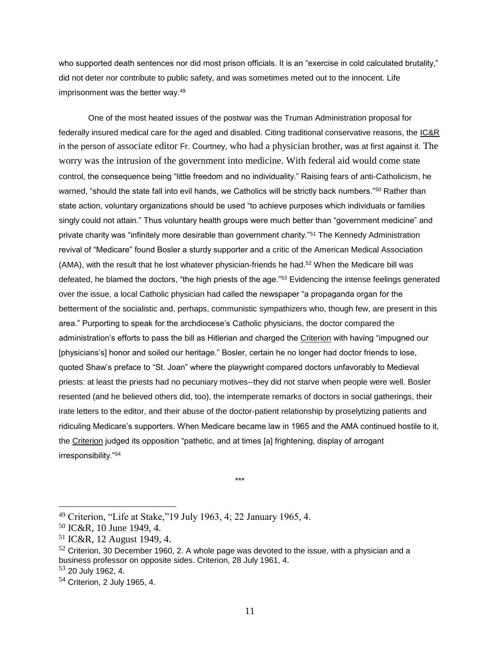who supported death sentences nor did most prison officials. It is an "exercise in cold calculated brutality," did not deter nor contribute to public safety, and was sometimes meted out to the innocent. Life imprisonment was the better way.<sup>49</sup>

One of the most heated issues of the postwar was the Truman Administration proposal for federally insured medical care for the aged and disabled. Citing traditional conservative reasons, the IC&R in the person of associate editor Fr. Courtney, who had a physician brother, was at first against it. The worry was the intrusion of the government into medicine. With federal aid would come state control, the consequence being "little freedom and no individuality." Raising fears of anti-Catholicism, he warned, "should the state fall into evil hands, we Catholics will be strictly back numbers."<sup>50</sup> Rather than state action, voluntary organizations should be used "to achieve purposes which individuals or families singly could not attain." Thus voluntary health groups were much better than "government medicine" and private charity was "infinitely more desirable than government charity."<sup>51</sup> The Kennedy Administration revival of "Medicare" found Bosler a sturdy supporter and a critic of the American Medical Association (AMA), with the result that he lost whatever physician-friends he had. <sup>52</sup> When the Medicare bill was defeated, he blamed the doctors, "the high priests of the age."<sup>53</sup> Evidencing the intense feelings generated over the issue, a local Catholic physician had called the newspaper "a propaganda organ for the betterment of the socialistic and, perhaps, communistic sympathizers who, though few, are present in this area." Purporting to speak for the archdiocese's Catholic physicians, the doctor compared the administration's efforts to pass the bill as Hitlerian and charged the Criterion with having "impugned our [physicians's] honor and soiled our heritage." Bosler, certain he no longer had doctor friends to lose, quoted Shaw's preface to "St. Joan" where the playwright compared doctors unfavorably to Medieval priests: at least the priests had no pecuniary motives--they did not starve when people were well. Bosler resented (and he believed others did, too), the intemperate remarks of doctors in social gatherings, their irate letters to the editor, and their abuse of the doctor-patient relationship by proselytizing patients and ridiculing Medicare's supporters. When Medicare became law in 1965 and the AMA continued hostile to it, the Criterion judged its opposition "pathetic, and at times [a] frightening, display of arrogant irresponsibility."<sup>54</sup>

<sup>\*\*\*</sup> 

<sup>49</sup> Criterion, "Life at Stake,"19 July 1963, 4; 22 January 1965, 4.

<sup>50</sup> IC&R, 10 June 1949, 4.

<sup>51</sup> IC&R, 12 August 1949, 4.

 $52$  Criterion, 30 December 1960, 2. A whole page was devoted to the issue, with a physician and a business professor on opposite sides. Criterion, 28 July 1961, 4.

<sup>53</sup> 20 July 1962, 4.

<sup>54</sup> Criterion, 2 July 1965, 4.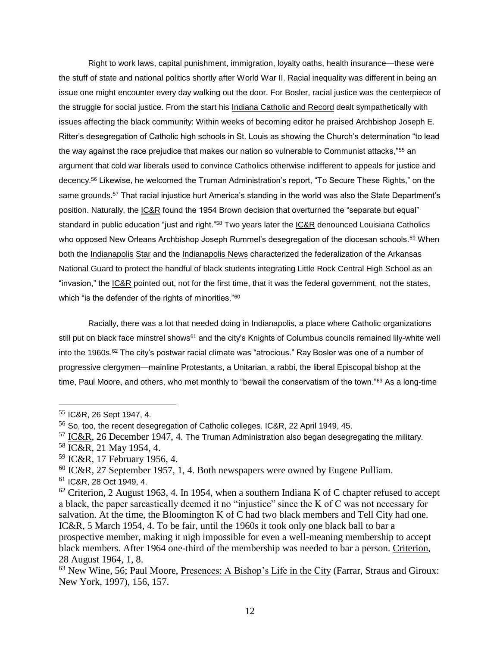Right to work laws, capital punishment, immigration, loyalty oaths, health insurance—these were the stuff of state and national politics shortly after World War II. Racial inequality was different in being an issue one might encounter every day walking out the door. For Bosler, racial justice was the centerpiece of the struggle for social justice. From the start his Indiana Catholic and Record dealt sympathetically with issues affecting the black community: Within weeks of becoming editor he praised Archbishop Joseph E. Ritter's desegregation of Catholic high schools in St. Louis as showing the Church's determination "to lead the way against the race prejudice that makes our nation so vulnerable to Communist attacks,"<sup>55</sup> an argument that cold war liberals used to convince Catholics otherwise indifferent to appeals for justice and decency.<sup>56</sup> Likewise, he welcomed the Truman Administration's report, "To Secure These Rights," on the same grounds.<sup>57</sup> That racial injustice hurt America's standing in the world was also the State Department's position. Naturally, the IC&R found the 1954 Brown decision that overturned the "separate but equal" standard in public education "just and right."<sup>58</sup> Two years later the IC&R denounced Louisiana Catholics who opposed New Orleans Archbishop Joseph Rummel's desegregation of the diocesan schools.<sup>59</sup> When both the Indianapolis Star and the Indianapolis News characterized the federalization of the Arkansas National Guard to protect the handful of black students integrating Little Rock Central High School as an "invasion," the IC&R pointed out, not for the first time, that it was the federal government, not the states, which "is the defender of the rights of minorities."<sup>60</sup>

Racially, there was a lot that needed doing in Indianapolis, a place where Catholic organizations still put on black face minstrel shows<sup>61</sup> and the city's Knights of Columbus councils remained lily-white well into the 1960s.<sup>62</sup> The city's postwar racial climate was "atrocious." Ray Bosler was one of a number of progressive clergymen—mainline Protestants, a Unitarian, a rabbi, the liberal Episcopal bishop at the time, Paul Moore, and others, who met monthly to "bewail the conservatism of the town."<sup>63</sup> As a long-time

<sup>55</sup> IC&R, 26 Sept 1947, 4.

<sup>&</sup>lt;sup>56</sup> So, too, the recent desegregation of Catholic colleges. IC&R, 22 April 1949, 45.

 $57$  IC&R, 26 December 1947, 4. The Truman Administration also began desegregating the military.

<sup>58</sup> IC&R, 21 May 1954, 4.

<sup>59</sup> IC&R, 17 February 1956, 4.

 $60$  IC&R, 27 September 1957, 1, 4. Both newspapers were owned by Eugene Pulliam.

<sup>61</sup> IC&R, 28 Oct 1949, 4.

 $62$  Criterion, 2 August 1963, 4. In 1954, when a southern Indiana K of C chapter refused to accept a black, the paper sarcastically deemed it no "injustice" since the K of C was not necessary for salvation. At the time, the Bloomington K of C had two black members and Tell City had one. IC&R, 5 March 1954, 4. To be fair, until the 1960s it took only one black ball to bar a prospective member, making it nigh impossible for even a well-meaning membership to accept black members. After 1964 one-third of the membership was needed to bar a person. Criterion, 28 August 1964, 1, 8.

<sup>63</sup> New Wine, 56; Paul Moore, Presences: A Bishop's Life in the City (Farrar, Straus and Giroux: New York, 1997), 156, 157.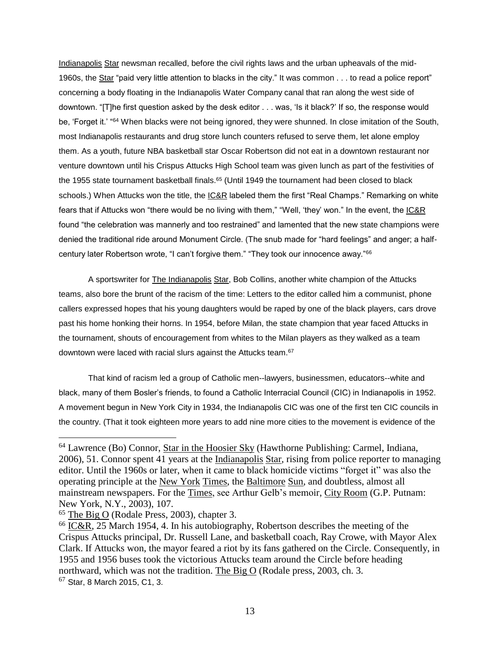Indianapolis Star newsman recalled, before the civil rights laws and the urban upheavals of the mid-1960s, the Star "paid very little attention to blacks in the city." It was common . . . to read a police report" concerning a body floating in the Indianapolis Water Company canal that ran along the west side of downtown. "[T]he first question asked by the desk editor . . . was, 'Is it black?' If so, the response would be, 'Forget it.' "<sup>64</sup> When blacks were not being ignored, they were shunned. In close imitation of the South, most Indianapolis restaurants and drug store lunch counters refused to serve them, let alone employ them. As a youth, future NBA basketball star Oscar Robertson did not eat in a downtown restaurant nor venture downtown until his Crispus Attucks High School team was given lunch as part of the festivities of the 1955 state tournament basketball finals.<sup>65</sup> (Until 1949 the tournament had been closed to black schools.) When Attucks won the title, the IC&R labeled them the first "Real Champs." Remarking on white fears that if Attucks won "there would be no living with them," "Well, 'they' won." In the event, the IC&R found "the celebration was mannerly and too restrained" and lamented that the new state champions were denied the traditional ride around Monument Circle. (The snub made for "hard feelings" and anger; a halfcentury later Robertson wrote, "I can't forgive them." "They took our innocence away."<sup>66</sup>

A sportswriter for The Indianapolis Star, Bob Collins, another white champion of the Attucks teams, also bore the brunt of the racism of the time: Letters to the editor called him a communist, phone callers expressed hopes that his young daughters would be raped by one of the black players, cars drove past his home honking their horns. In 1954, before Milan, the state champion that year faced Attucks in the tournament, shouts of encouragement from whites to the Milan players as they walked as a team downtown were laced with racial slurs against the Attucks team.<sup>67</sup>

That kind of racism led a group of Catholic men--lawyers, businessmen, educators--white and black, many of them Bosler's friends, to found a Catholic Interracial Council (CIC) in Indianapolis in 1952. A movement begun in New York City in 1934, the Indianapolis CIC was one of the first ten CIC councils in the country. (That it took eighteen more years to add nine more cities to the movement is evidence of the

<sup>&</sup>lt;sup>64</sup> Lawrence (Bo) Connor, Star in the Hoosier Sky (Hawthorne Publishing: Carmel, Indiana, 2006), 51. Connor spent 41 years at the Indianapolis Star, rising from police reporter to managing editor. Until the 1960s or later, when it came to black homicide victims "forget it" was also the operating principle at the New York Times, the Baltimore Sun, and doubtless, almost all mainstream newspapers. For the Times, see Arthur Gelb's memoir, City Room (G.P. Putnam: New York, N.Y., 2003), 107.

<sup>65</sup> The Big O (Rodale Press, 2003), chapter 3.

<sup>66</sup> IC&R, 25 March 1954, 4. In his autobiography, Robertson describes the meeting of the Crispus Attucks principal, Dr. Russell Lane, and basketball coach, Ray Crowe, with Mayor Alex Clark. If Attucks won, the mayor feared a riot by its fans gathered on the Circle. Consequently, in 1955 and 1956 buses took the victorious Attucks team around the Circle before heading northward, which was not the tradition. The Big O (Rodale press, 2003, ch. 3. <sup>67</sup> Star, 8 March 2015, C1, 3.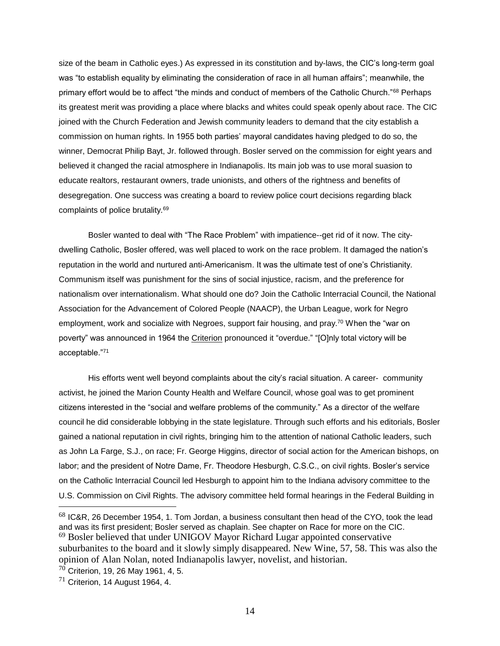size of the beam in Catholic eyes.) As expressed in its constitution and by-laws, the CIC's long-term goal was "to establish equality by eliminating the consideration of race in all human affairs"; meanwhile, the primary effort would be to affect "the minds and conduct of members of the Catholic Church."<sup>68</sup> Perhaps its greatest merit was providing a place where blacks and whites could speak openly about race. The CIC joined with the Church Federation and Jewish community leaders to demand that the city establish a commission on human rights. In 1955 both parties' mayoral candidates having pledged to do so, the winner, Democrat Philip Bayt, Jr. followed through. Bosler served on the commission for eight years and believed it changed the racial atmosphere in Indianapolis. Its main job was to use moral suasion to educate realtors, restaurant owners, trade unionists, and others of the rightness and benefits of desegregation. One success was creating a board to review police court decisions regarding black complaints of police brutality.<sup>69</sup>

Bosler wanted to deal with "The Race Problem" with impatience--get rid of it now. The citydwelling Catholic, Bosler offered, was well placed to work on the race problem. It damaged the nation's reputation in the world and nurtured anti-Americanism. It was the ultimate test of one's Christianity. Communism itself was punishment for the sins of social injustice, racism, and the preference for nationalism over internationalism. What should one do? Join the Catholic Interracial Council, the National Association for the Advancement of Colored People (NAACP), the Urban League, work for Negro employment, work and socialize with Negroes, support fair housing, and pray.<sup>70</sup> When the "war on poverty" was announced in 1964 the Criterion pronounced it "overdue." "[O]nly total victory will be acceptable."<sup>71</sup>

His efforts went well beyond complaints about the city's racial situation. A career- community activist, he joined the Marion County Health and Welfare Council, whose goal was to get prominent citizens interested in the "social and welfare problems of the community." As a director of the welfare council he did considerable lobbying in the state legislature. Through such efforts and his editorials, Bosler gained a national reputation in civil rights, bringing him to the attention of national Catholic leaders, such as John La Farge, S.J., on race; Fr. George Higgins, director of social action for the American bishops, on labor; and the president of Notre Dame, Fr. Theodore Hesburgh, C.S.C., on civil rights. Bosler's service on the Catholic Interracial Council led Hesburgh to appoint him to the Indiana advisory committee to the U.S. Commission on Civil Rights. The advisory committee held formal hearings in the Federal Building in  $\overline{a}$ 

 $<sup>68</sup>$  IC&R, 26 December 1954, 1. Tom Jordan, a business consultant then head of the CYO, took the lead</sup> and was its first president; Bosler served as chaplain. See chapter on Race for more on the CIC. <sup>69</sup> Bosler believed that under UNIGOV Mayor Richard Lugar appointed conservative suburbanites to the board and it slowly simply disappeared. New Wine, 57, 58. This was also the opinion of Alan Nolan, noted Indianapolis lawyer, novelist, and historian.

<sup>70</sup> Criterion, 19, 26 May 1961, 4, 5.

 $71$  Criterion, 14 August 1964, 4.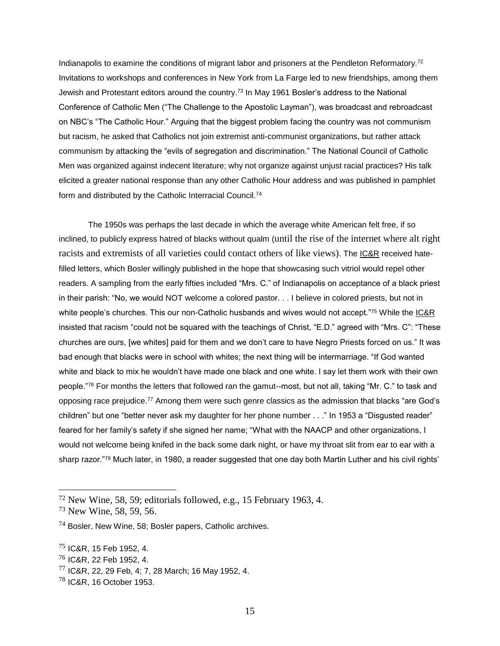Indianapolis to examine the conditions of migrant labor and prisoners at the Pendleton Reformatory.<sup>72</sup> Invitations to workshops and conferences in New York from La Farge led to new friendships, among them Jewish and Protestant editors around the country.<sup>73</sup> In May 1961 Bosler's address to the National Conference of Catholic Men ("The Challenge to the Apostolic Layman"), was broadcast and rebroadcast on NBC's "The Catholic Hour." Arguing that the biggest problem facing the country was not communism but racism, he asked that Catholics not join extremist anti-communist organizations, but rather attack communism by attacking the "evils of segregation and discrimination." The National Council of Catholic Men was organized against indecent literature; why not organize against unjust racial practices? His talk elicited a greater national response than any other Catholic Hour address and was published in pamphlet form and distributed by the Catholic Interracial Council.<sup>74</sup>

The 1950s was perhaps the last decade in which the average white American felt free, if so inclined, to publicly express hatred of blacks without qualm (until the rise of the internet where alt right racists and extremists of all varieties could contact others of like views). The IC&R received hatefilled letters, which Bosler willingly published in the hope that showcasing such vitriol would repel other readers. A sampling from the early fifties included "Mrs. C." of Indianapolis on acceptance of a black priest in their parish: "No, we would NOT welcome a colored pastor. . . I believe in colored priests, but not in white people's churches. This our non-Catholic husbands and wives would not accept."75 While the IC&R insisted that racism "could not be squared with the teachings of Christ, "E.D." agreed with "Mrs. C": "These churches are ours, [we whites] paid for them and we don't care to have Negro Priests forced on us." It was bad enough that blacks were in school with whites; the next thing will be intermarriage. "If God wanted white and black to mix he wouldn't have made one black and one white. I say let them work with their own people."<sup>76</sup> For months the letters that followed ran the gamut--most, but not all, taking "Mr. C." to task and opposing race prejudice.<sup>77</sup> Among them were such genre classics as the admission that blacks "are God's children" but one "better never ask my daughter for her phone number . . ." In 1953 a "Disgusted reader" feared for her family's safety if she signed her name; "What with the NAACP and other organizations, I would not welcome being knifed in the back some dark night, or have my throat slit from ear to ear with a sharp razor."<sup>78</sup> Much later, in 1980, a reader suggested that one day both Martin Luther and his civil rights'

 $72$  New Wine, 58, 59; editorials followed, e.g., 15 February 1963, 4.

<sup>73</sup> New Wine, 58, 59, 56.

 $74$  Bosler, New Wine, 58; Bosler papers, Catholic archives.

<sup>75</sup> IC&R, 15 Feb 1952, 4.

<sup>76</sup> IC&R, 22 Feb 1952, 4.

<sup>77</sup> IC&R, 22, 29 Feb, 4; 7, 28 March; 16 May 1952, 4.

 $^{78}$  IC&R, 16 October 1953.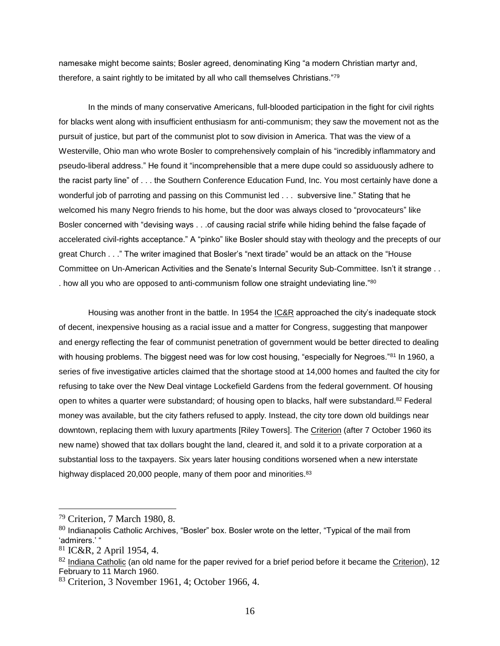namesake might become saints; Bosler agreed, denominating King "a modern Christian martyr and, therefore, a saint rightly to be imitated by all who call themselves Christians."<sup>79</sup>

In the minds of many conservative Americans, full-blooded participation in the fight for civil rights for blacks went along with insufficient enthusiasm for anti-communism; they saw the movement not as the pursuit of justice, but part of the communist plot to sow division in America. That was the view of a Westerville, Ohio man who wrote Bosler to comprehensively complain of his "incredibly inflammatory and pseudo-liberal address." He found it "incomprehensible that a mere dupe could so assiduously adhere to the racist party line" of . . . the Southern Conference Education Fund, Inc. You most certainly have done a wonderful job of parroting and passing on this Communist led . . . subversive line." Stating that he welcomed his many Negro friends to his home, but the door was always closed to "provocateurs" like Bosler concerned with "devising ways . . . of causing racial strife while hiding behind the false façade of accelerated civil-rights acceptance." A "pinko" like Bosler should stay with theology and the precepts of our great Church . . ." The writer imagined that Bosler's "next tirade" would be an attack on the "House Committee on Un-American Activities and the Senate's Internal Security Sub-Committee. Isn't it strange . . . how all you who are opposed to anti-communism follow one straight undeviating line."<sup>80</sup>

Housing was another front in the battle. In 1954 the **IC&R** approached the city's inadequate stock of decent, inexpensive housing as a racial issue and a matter for Congress, suggesting that manpower and energy reflecting the fear of communist penetration of government would be better directed to dealing with housing problems. The biggest need was for low cost housing, "especially for Negroes."<sup>81</sup> In 1960, a series of five investigative articles claimed that the shortage stood at 14,000 homes and faulted the city for refusing to take over the New Deal vintage Lockefield Gardens from the federal government. Of housing open to whites a quarter were substandard; of housing open to blacks, half were substandard. $82$  Federal money was available, but the city fathers refused to apply. Instead, the city tore down old buildings near downtown, replacing them with luxury apartments [Riley Towers]. The Criterion (after 7 October 1960 its new name) showed that tax dollars bought the land, cleared it, and sold it to a private corporation at a substantial loss to the taxpayers. Six years later housing conditions worsened when a new interstate highway displaced 20,000 people, many of them poor and minorities.<sup>83</sup>

<sup>79</sup> Criterion, 7 March 1980, 8.

 $80$  Indianapolis Catholic Archives, "Bosler" box. Bosler wrote on the letter, "Typical of the mail from 'admirers.' "

<sup>81</sup> IC&R, 2 April 1954, 4.

 $82$  Indiana Catholic (an old name for the paper revived for a brief period before it became the Criterion), 12 February to 11 March 1960.

<sup>83</sup> Criterion, 3 November 1961, 4; October 1966, 4.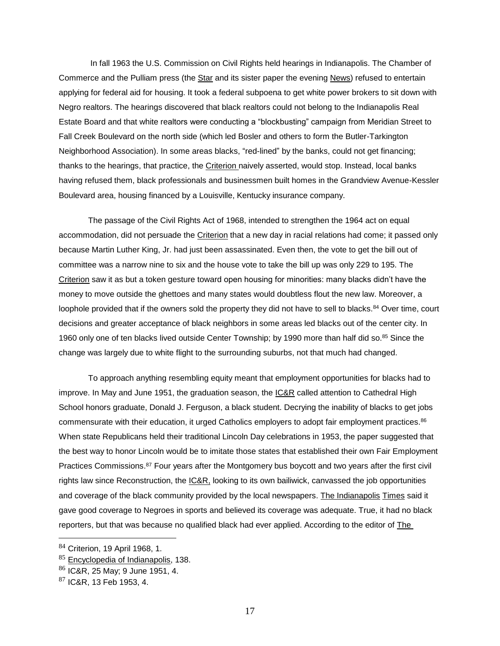In fall 1963 the U.S. Commission on Civil Rights held hearings in Indianapolis. The Chamber of Commerce and the Pulliam press (the Star and its sister paper the evening News) refused to entertain applying for federal aid for housing. It took a federal subpoena to get white power brokers to sit down with Negro realtors. The hearings discovered that black realtors could not belong to the Indianapolis Real Estate Board and that white realtors were conducting a "blockbusting" campaign from Meridian Street to Fall Creek Boulevard on the north side (which led Bosler and others to form the Butler-Tarkington Neighborhood Association). In some areas blacks, "red-lined" by the banks, could not get financing; thanks to the hearings, that practice, the Criterion naively asserted, would stop. Instead, local banks having refused them, black professionals and businessmen built homes in the Grandview Avenue-Kessler Boulevard area, housing financed by a Louisville, Kentucky insurance company.

The passage of the Civil Rights Act of 1968, intended to strengthen the 1964 act on equal accommodation, did not persuade the Criterion that a new day in racial relations had come; it passed only because Martin Luther King, Jr. had just been assassinated. Even then, the vote to get the bill out of committee was a narrow nine to six and the house vote to take the bill up was only 229 to 195. The Criterion saw it as but a token gesture toward open housing for minorities: many blacks didn't have the money to move outside the ghettoes and many states would doubtless flout the new law. Moreover, a loophole provided that if the owners sold the property they did not have to sell to blacks.<sup>84</sup> Over time, court decisions and greater acceptance of black neighbors in some areas led blacks out of the center city. In 1960 only one of ten blacks lived outside Center Township; by 1990 more than half did so.<sup>85</sup> Since the change was largely due to white flight to the surrounding suburbs, not that much had changed.

To approach anything resembling equity meant that employment opportunities for blacks had to improve. In May and June 1951, the graduation season, the IC&R called attention to Cathedral High School honors graduate, Donald J. Ferguson, a black student. Decrying the inability of blacks to get jobs commensurate with their education, it urged Catholics employers to adopt fair employment practices.<sup>86</sup> When state Republicans held their traditional Lincoln Day celebrations in 1953, the paper suggested that the best way to honor Lincoln would be to imitate those states that established their own Fair Employment Practices Commissions.<sup>87</sup> Four years after the Montgomery bus boycott and two years after the first civil rights law since Reconstruction, the IC&R, looking to its own bailiwick, canvassed the job opportunities and coverage of the black community provided by the local newspapers. The Indianapolis Times said it gave good coverage to Negroes in sports and believed its coverage was adequate. True, it had no black reporters, but that was because no qualified black had ever applied. According to the editor of The

<sup>84</sup> Criterion, 19 April 1968, 1.

<sup>&</sup>lt;sup>85</sup> Encyclopedia of Indianapolis, 138.

<sup>86</sup> IC&R, 25 May; 9 June 1951, 4.

 $87$  IC&R, 13 Feb 1953, 4.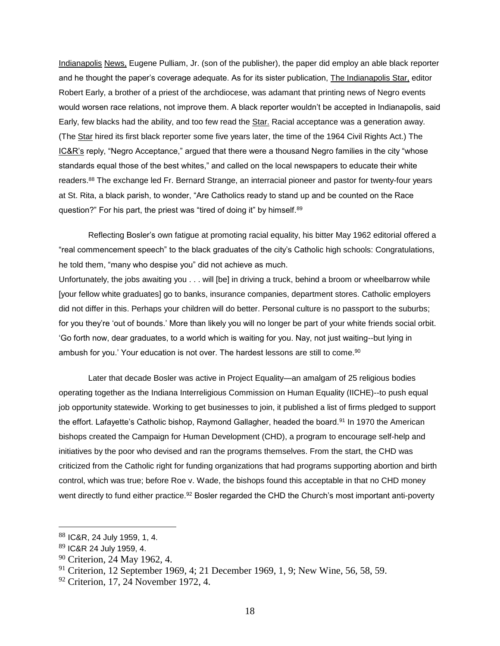Indianapolis News, Eugene Pulliam, Jr. (son of the publisher), the paper did employ an able black reporter and he thought the paper's coverage adequate. As for its sister publication, The Indianapolis Star, editor Robert Early, a brother of a priest of the archdiocese, was adamant that printing news of Negro events would worsen race relations, not improve them. A black reporter wouldn't be accepted in Indianapolis, said Early, few blacks had the ability, and too few read the Star. Racial acceptance was a generation away. (The Star hired its first black reporter some five years later, the time of the 1964 Civil Rights Act.) The IC&R's reply, "Negro Acceptance," argued that there were a thousand Negro families in the city "whose standards equal those of the best whites," and called on the local newspapers to educate their white readers.<sup>88</sup> The exchange led Fr. Bernard Strange, an interracial pioneer and pastor for twenty-four years at St. Rita, a black parish, to wonder, "Are Catholics ready to stand up and be counted on the Race question?" For his part, the priest was "tired of doing it" by himself.<sup>89</sup>

Reflecting Bosler's own fatigue at promoting racial equality, his bitter May 1962 editorial offered a "real commencement speech" to the black graduates of the city's Catholic high schools: Congratulations, he told them, "many who despise you" did not achieve as much.

Unfortunately, the jobs awaiting you . . . will [be] in driving a truck, behind a broom or wheelbarrow while [your fellow white graduates] go to banks, insurance companies, department stores. Catholic employers did not differ in this. Perhaps your children will do better. Personal culture is no passport to the suburbs; for you they're 'out of bounds.' More than likely you will no longer be part of your white friends social orbit. 'Go forth now, dear graduates, to a world which is waiting for you. Nay, not just waiting--but lying in ambush for you.' Your education is not over. The hardest lessons are still to come.<sup>90</sup>

Later that decade Bosler was active in Project Equality—an amalgam of 25 religious bodies operating together as the Indiana Interreligious Commission on Human Equality (IICHE)--to push equal job opportunity statewide. Working to get businesses to join, it published a list of firms pledged to support the effort. Lafayette's Catholic bishop, Raymond Gallagher, headed the board.<sup>91</sup> In 1970 the American bishops created the Campaign for Human Development (CHD), a program to encourage self-help and initiatives by the poor who devised and ran the programs themselves. From the start, the CHD was criticized from the Catholic right for funding organizations that had programs supporting abortion and birth control, which was true; before Roe v. Wade, the bishops found this acceptable in that no CHD money went directly to fund either practice.<sup>92</sup> Bosler regarded the CHD the Church's most important anti-poverty

<sup>88</sup> IC&R, 24 July 1959, 1, 4.

<sup>89</sup> IC&R 24 July 1959, 4.

<sup>&</sup>lt;sup>90</sup> Criterion, 24 May 1962, 4.

<sup>&</sup>lt;sup>91</sup> Criterion, 12 September 1969, 4; 21 December 1969, 1, 9; New Wine, 56, 58, 59.

<sup>92</sup> Criterion, 17, 24 November 1972, 4.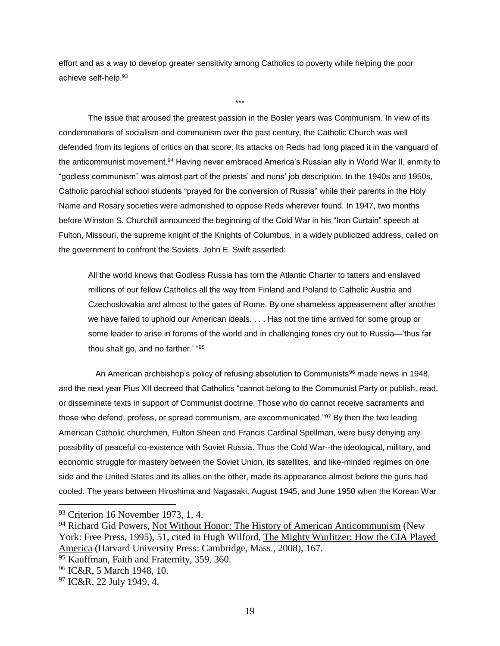effort and as a way to develop greater sensitivity among Catholics to poverty while helping the poor achieve self-help.<sup>93</sup>

\*\*\*

The issue that aroused the greatest passion in the Bosler years was Communism. In view of its condemnations of socialism and communism over the past century, the Catholic Church was well defended from its legions of critics on that score. Its attacks on Reds had long placed it in the vanguard of the anticommunist movement.<sup>94</sup> Having never embraced America's Russian ally in World War II, enmity to "godless communism" was almost part of the priests' and nuns' job description. In the 1940s and 1950s, Catholic parochial school students "prayed for the conversion of Russia" while their parents in the Holy Name and Rosary societies were admonished to oppose Reds wherever found. In 1947, two months before Winston S. Churchill announced the beginning of the Cold War in his "Iron Curtain" speech at Fulton, Missouri, the supreme knight of the Knights of Columbus, in a widely publicized address, called on the government to confront the Soviets. John E. Swift asserted:

All the world knows that Godless Russia has torn the Atlantic Charter to tatters and enslaved millions of our fellow Catholics all the way from Finland and Poland to Catholic Austria and Czechoslovakia and almost to the gates of Rome. By one shameless appeasement after another we have failed to uphold our American ideals. . . . Has not the time arrived for some group or some leader to arise in forums of the world and in challenging tones cry out to Russia—'thus far thou shalt go, and no farther.' "95

An American archbishop's policy of refusing absolution to Communists<sup>96</sup> made news in 1948, and the next year Pius XII decreed that Catholics "cannot belong to the Communist Party or publish, read, or disseminate texts in support of Communist doctrine. Those who do cannot receive sacraments and those who defend, profess, or spread communism, are excommunicated."<sup>97</sup> By then the two leading American Catholic churchmen, Fulton Sheen and Francis Cardinal Spellman, were busy denying any possibility of peaceful co-existence with Soviet Russia. Thus the Cold War--the ideological, military, and economic struggle for mastery between the Soviet Union, its satellites, and like-minded regimes on one side and the United States and its allies on the other, made its appearance almost before the guns had cooled. The years between Hiroshima and Nagasaki, August 1945, and June 1950 when the Korean War

<sup>&</sup>lt;sup>93</sup> Criterion 16 November 1973, 1, 4.

<sup>&</sup>lt;sup>94</sup> Richard Gid Powers, Not Without Honor: The History of American Anticommunism (New York: Free Press, 1995), 51, cited in Hugh Wilford, The Mighty Wurlitzer: How the CIA Played America (Harvard University Press: Cambridge, Mass., 2008), 167.

<sup>&</sup>lt;sup>95</sup> Kauffman, Faith and Fraternity, 359, 360.

<sup>96</sup> IC&R, 5 March 1948, 10.

 $97$  IC&R, 22 July 1949, 4.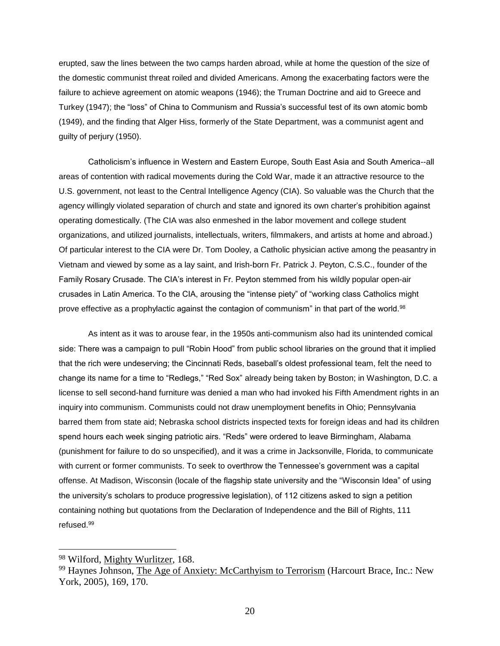erupted, saw the lines between the two camps harden abroad, while at home the question of the size of the domestic communist threat roiled and divided Americans. Among the exacerbating factors were the failure to achieve agreement on atomic weapons (1946); the Truman Doctrine and aid to Greece and Turkey (1947); the "loss" of China to Communism and Russia's successful test of its own atomic bomb (1949), and the finding that Alger Hiss, formerly of the State Department, was a communist agent and guilty of perjury (1950).

Catholicism's influence in Western and Eastern Europe, South East Asia and South America--all areas of contention with radical movements during the Cold War, made it an attractive resource to the U.S. government, not least to the Central Intelligence Agency (CIA). So valuable was the Church that the agency willingly violated separation of church and state and ignored its own charter's prohibition against operating domestically. (The CIA was also enmeshed in the labor movement and college student organizations, and utilized journalists, intellectuals, writers, filmmakers, and artists at home and abroad.) Of particular interest to the CIA were Dr. Tom Dooley, a Catholic physician active among the peasantry in Vietnam and viewed by some as a lay saint, and Irish-born Fr. Patrick J. Peyton, C.S.C., founder of the Family Rosary Crusade. The CIA's interest in Fr. Peyton stemmed from his wildly popular open-air crusades in Latin America. To the CIA, arousing the "intense piety" of "working class Catholics might prove effective as a prophylactic against the contagion of communism" in that part of the world.<sup>98</sup>

As intent as it was to arouse fear, in the 1950s anti-communism also had its unintended comical side: There was a campaign to pull "Robin Hood" from public school libraries on the ground that it implied that the rich were undeserving; the Cincinnati Reds, baseball's oldest professional team, felt the need to change its name for a time to "Redlegs," "Red Sox" already being taken by Boston; in Washington, D.C. a license to sell second-hand furniture was denied a man who had invoked his Fifth Amendment rights in an inquiry into communism. Communists could not draw unemployment benefits in Ohio; Pennsylvania barred them from state aid; Nebraska school districts inspected texts for foreign ideas and had its children spend hours each week singing patriotic airs. "Reds" were ordered to leave Birmingham, Alabama (punishment for failure to do so unspecified), and it was a crime in Jacksonville, Florida, to communicate with current or former communists. To seek to overthrow the Tennessee's government was a capital offense. At Madison, Wisconsin (locale of the flagship state university and the "Wisconsin Idea" of using the university's scholars to produce progressive legislation), of 112 citizens asked to sign a petition containing nothing but quotations from the Declaration of Independence and the Bill of Rights, 111 refused.<sup>99</sup>

<sup>&</sup>lt;sup>98</sup> Wilford, Mighty Wurlitzer, 168.

<sup>&</sup>lt;sup>99</sup> Haynes Johnson, The Age of Anxiety: McCarthyism to Terrorism (Harcourt Brace, Inc.: New York, 2005), 169, 170.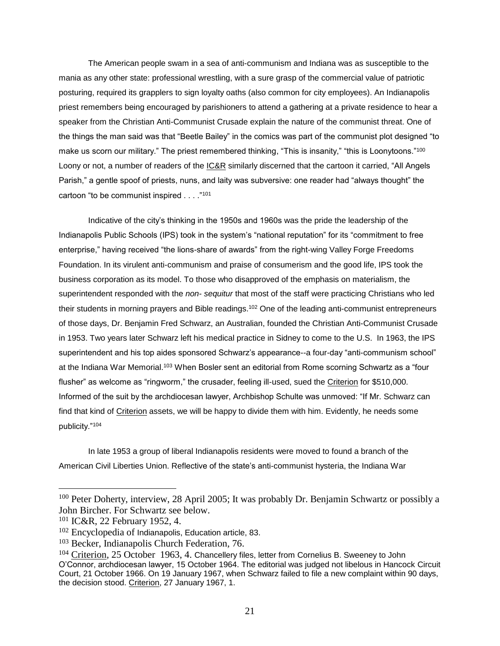The American people swam in a sea of anti-communism and Indiana was as susceptible to the mania as any other state: professional wrestling, with a sure grasp of the commercial value of patriotic posturing, required its grapplers to sign loyalty oaths (also common for city employees). An Indianapolis priest remembers being encouraged by parishioners to attend a gathering at a private residence to hear a speaker from the Christian Anti-Communist Crusade explain the nature of the communist threat. One of the things the man said was that "Beetle Bailey" in the comics was part of the communist plot designed "to make us scorn our military." The priest remembered thinking, "This is insanity," "this is Loonytoons."<sup>100</sup> Loony or not, a number of readers of the **IC&R** similarly discerned that the cartoon it carried, "All Angels" Parish," a gentle spoof of priests, nuns, and laity was subversive: one reader had "always thought" the cartoon "to be communist inspired . . . ."<sup>101</sup>

Indicative of the city's thinking in the 1950s and 1960s was the pride the leadership of the Indianapolis Public Schools (IPS) took in the system's "national reputation" for its "commitment to free enterprise," having received "the lions-share of awards" from the right-wing Valley Forge Freedoms Foundation. In its virulent anti-communism and praise of consumerism and the good life, IPS took the business corporation as its model. To those who disapproved of the emphasis on materialism, the superintendent responded with the *non- sequitur* that most of the staff were practicing Christians who led their students in morning prayers and Bible readings.<sup>102</sup> One of the leading anti-communist entrepreneurs of those days, Dr. Benjamin Fred Schwarz, an Australian, founded the Christian Anti-Communist Crusade in 1953. Two years later Schwarz left his medical practice in Sidney to come to the U.S. In 1963, the IPS superintendent and his top aides sponsored Schwarz's appearance--a four-day "anti-communism school" at the Indiana War Memorial.<sup>103</sup> When Bosler sent an editorial from Rome scorning Schwartz as a "four flusher" as welcome as "ringworm," the crusader, feeling ill-used, sued the Criterion for \$510,000. Informed of the suit by the archdiocesan lawyer, Archbishop Schulte was unmoved: "If Mr. Schwarz can find that kind of Criterion assets, we will be happy to divide them with him. Evidently, he needs some publicity."<sup>104</sup>

In late 1953 a group of liberal Indianapolis residents were moved to found a branch of the American Civil Liberties Union. Reflective of the state's anti-communist hysteria, the Indiana War

<sup>&</sup>lt;sup>100</sup> Peter Doherty, interview, 28 April 2005; It was probably Dr. Benjamin Schwartz or possibly a John Bircher. For Schwartz see below.

<sup>101</sup> IC&R, 22 February 1952, 4.

<sup>&</sup>lt;sup>102</sup> Encyclopedia of Indianapolis, Education article, 83.

<sup>103</sup> Becker, Indianapolis Church Federation, 76.

<sup>104</sup> Criterion, 25 October 1963, 4. Chancellery files, letter from Cornelius B. Sweeney to John O'Connor, archdiocesan lawyer, 15 October 1964. The editorial was judged not libelous in Hancock Circuit Court, 21 October 1966. On 19 January 1967, when Schwarz failed to file a new complaint within 90 days, the decision stood. Criterion, 27 January 1967, 1.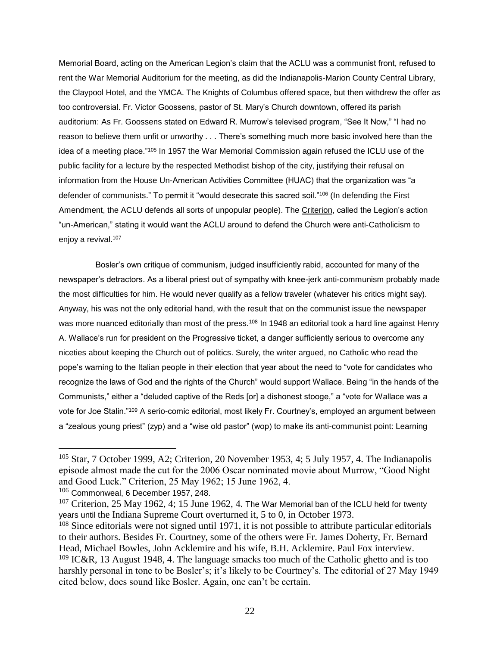Memorial Board, acting on the American Legion's claim that the ACLU was a communist front, refused to rent the War Memorial Auditorium for the meeting, as did the Indianapolis-Marion County Central Library, the Claypool Hotel, and the YMCA. The Knights of Columbus offered space, but then withdrew the offer as too controversial. Fr. Victor Goossens, pastor of St. Mary's Church downtown, offered its parish auditorium: As Fr. Goossens stated on Edward R. Murrow's televised program, "See It Now," "I had no reason to believe them unfit or unworthy . . . There's something much more basic involved here than the idea of a meeting place."<sup>105</sup> In 1957 the War Memorial Commission again refused the ICLU use of the public facility for a lecture by the respected Methodist bishop of the city, justifying their refusal on information from the House Un-American Activities Committee (HUAC) that the organization was "a defender of communists." To permit it "would desecrate this sacred soil."<sup>106</sup> (In defending the First Amendment, the ACLU defends all sorts of unpopular people). The Criterion, called the Legion's action "un-American," stating it would want the ACLU around to defend the Church were anti-Catholicism to enjoy a revival.<sup>107</sup>

Bosler's own critique of communism, judged insufficiently rabid, accounted for many of the newspaper's detractors. As a liberal priest out of sympathy with knee-jerk anti-communism probably made the most difficulties for him. He would never qualify as a fellow traveler (whatever his critics might say). Anyway, his was not the only editorial hand, with the result that on the communist issue the newspaper was more nuanced editorially than most of the press.<sup>108</sup> In 1948 an editorial took a hard line against Henry A. Wallace's run for president on the Progressive ticket, a danger sufficiently serious to overcome any niceties about keeping the Church out of politics. Surely, the writer argued, no Catholic who read the pope's warning to the Italian people in their election that year about the need to "vote for candidates who recognize the laws of God and the rights of the Church" would support Wallace. Being "in the hands of the Communists," either a "deluded captive of the Reds [or] a dishonest stooge," a "vote for Wallace was a vote for Joe Stalin."<sup>109</sup> A serio-comic editorial, most likely Fr. Courtney's, employed an argument between a "zealous young priest" (zyp) and a "wise old pastor" (wop) to make its anti-communist point: Learning

<sup>&</sup>lt;sup>105</sup> Star, 7 October 1999, A2; Criterion, 20 November 1953, 4; 5 July 1957, 4. The Indianapolis episode almost made the cut for the 2006 Oscar nominated movie about Murrow, "Good Night and Good Luck." Criterion, 25 May 1962; 15 June 1962, 4.

 $106$  Commonweal, 6 December 1957, 248.

 $107$  Criterion, 25 May 1962, 4; 15 June 1962, 4. The War Memorial ban of the ICLU held for twenty years until the Indiana Supreme Court overturned it, 5 to 0, in October 1973.

<sup>&</sup>lt;sup>108</sup> Since editorials were not signed until 1971, it is not possible to attribute particular editorials to their authors. Besides Fr. Courtney, some of the others were Fr. James Doherty, Fr. Bernard Head, Michael Bowles, John Acklemire and his wife, B.H. Acklemire. Paul Fox interview.  $109$  IC&R, 13 August 1948, 4. The language smacks too much of the Catholic ghetto and is too harshly personal in tone to be Bosler's; it's likely to be Courtney's. The editorial of 27 May 1949 cited below, does sound like Bosler. Again, one can't be certain.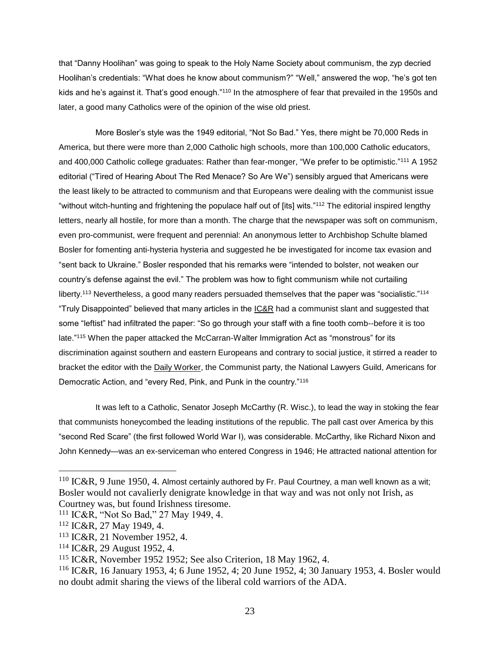that "Danny Hoolihan" was going to speak to the Holy Name Society about communism, the zyp decried Hoolihan's credentials: "What does he know about communism?" "Well," answered the wop, "he's got ten kids and he's against it. That's good enough."<sup>110</sup> In the atmosphere of fear that prevailed in the 1950s and later, a good many Catholics were of the opinion of the wise old priest.

More Bosler's style was the 1949 editorial, "Not So Bad." Yes, there might be 70,000 Reds in America, but there were more than 2,000 Catholic high schools, more than 100,000 Catholic educators, and 400,000 Catholic college graduates: Rather than fear-monger, "We prefer to be optimistic."<sup>111</sup> A 1952 editorial ("Tired of Hearing About The Red Menace? So Are We") sensibly argued that Americans were the least likely to be attracted to communism and that Europeans were dealing with the communist issue "without witch-hunting and frightening the populace half out of [its] wits."<sup>112</sup> The editorial inspired lengthy letters, nearly all hostile, for more than a month. The charge that the newspaper was soft on communism, even pro-communist, were frequent and perennial: An anonymous letter to Archbishop Schulte blamed Bosler for fomenting anti-hysteria hysteria and suggested he be investigated for income tax evasion and "sent back to Ukraine." Bosler responded that his remarks were "intended to bolster, not weaken our country's defense against the evil." The problem was how to fight communism while not curtailing liberty.<sup>113</sup> Nevertheless, a good many readers persuaded themselves that the paper was "socialistic."<sup>114</sup> "Truly Disappointed" believed that many articles in the IC&R had a communist slant and suggested that some "leftist" had infiltrated the paper: "So go through your staff with a fine tooth comb--before it is too late." <sup>115</sup> When the paper attacked the McCarran-Walter Immigration Act as "monstrous" for its discrimination against southern and eastern Europeans and contrary to social justice, it stirred a reader to bracket the editor with the Daily Worker, the Communist party, the National Lawyers Guild, Americans for Democratic Action, and "every Red, Pink, and Punk in the country."<sup>116</sup>

It was left to a Catholic, Senator Joseph McCarthy (R. Wisc.), to lead the way in stoking the fear that communists honeycombed the leading institutions of the republic. The pall cast over America by this "second Red Scare" (the first followed World War I), was considerable. McCarthy, like Richard Nixon and John Kennedy—was an ex-serviceman who entered Congress in 1946; He attracted national attention for

 $110$  IC&R, 9 June 1950, 4. Almost certainly authored by Fr. Paul Courtney, a man well known as a wit; Bosler would not cavalierly denigrate knowledge in that way and was not only not Irish, as Courtney was, but found Irishness tiresome.

<sup>111</sup> IC&R, "Not So Bad," 27 May 1949, 4.

<sup>112</sup> IC&R, 27 May 1949, 4.

<sup>113</sup> IC&R, 21 November 1952, 4.

<sup>114</sup> IC&R, 29 August 1952, 4.

<sup>115</sup> IC&R, November 1952 1952; See also Criterion, 18 May 1962, 4.

<sup>116</sup> IC&R, 16 January 1953, 4; 6 June 1952, 4; 20 June 1952, 4; 30 January 1953, 4. Bosler would no doubt admit sharing the views of the liberal cold warriors of the ADA.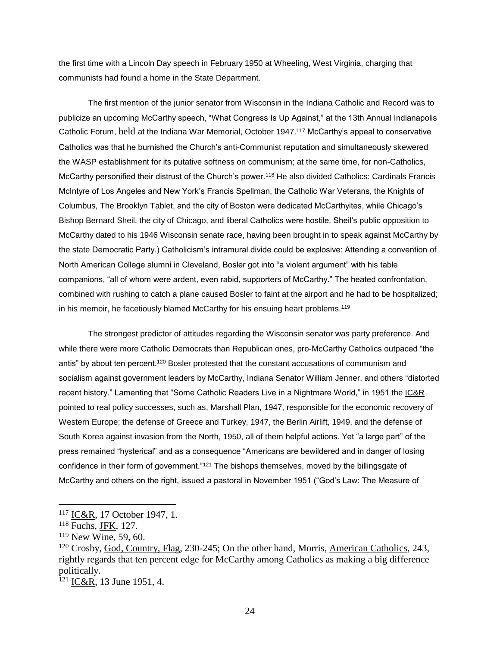the first time with a Lincoln Day speech in February 1950 at Wheeling, West Virginia, charging that communists had found a home in the State Department.

The first mention of the junior senator from Wisconsin in the Indiana Catholic and Record was to publicize an upcoming McCarthy speech, "What Congress Is Up Against," at the 13th Annual Indianapolis Catholic Forum, held at the Indiana War Memorial, October 1947.<sup>117</sup> McCarthy's appeal to conservative Catholics was that he burnished the Church's anti-Communist reputation and simultaneously skewered the WASP establishment for its putative softness on communism; at the same time, for non-Catholics, McCarthy personified their distrust of the Church's power.<sup>118</sup> He also divided Catholics: Cardinals Francis McIntyre of Los Angeles and New York's Francis Spellman, the Catholic War Veterans, the Knights of Columbus, The Brooklyn Tablet, and the city of Boston were dedicated McCarthyites, while Chicago's Bishop Bernard Sheil, the city of Chicago, and liberal Catholics were hostile. Sheil's public opposition to McCarthy dated to his 1946 Wisconsin senate race, having been brought in to speak against McCarthy by the state Democratic Party.) Catholicism's intramural divide could be explosive: Attending a convention of North American College alumni in Cleveland, Bosler got into "a violent argument" with his table companions, "all of whom were ardent, even rabid, supporters of McCarthy." The heated confrontation, combined with rushing to catch a plane caused Bosler to faint at the airport and he had to be hospitalized; in his memoir, he facetiously blamed McCarthy for his ensuing heart problems.<sup>119</sup>

The strongest predictor of attitudes regarding the Wisconsin senator was party preference. And while there were more Catholic Democrats than Republican ones, pro-McCarthy Catholics outpaced "the antis" by about ten percent.<sup>120</sup> Bosler protested that the constant accusations of communism and socialism against government leaders by McCarthy, Indiana Senator William Jenner, and others "distorted recent history." Lamenting that "Some Catholic Readers Live in a Nightmare World," in 1951 the IC&R pointed to real policy successes, such as, Marshall Plan, 1947, responsible for the economic recovery of Western Europe; the defense of Greece and Turkey, 1947, the Berlin Airlift, 1949, and the defense of South Korea against invasion from the North, 1950, all of them helpful actions. Yet "a large part" of the press remained "hysterical" and as a consequence "Americans are bewildered and in danger of losing confidence in their form of government."<sup>121</sup> The bishops themselves, moved by the billingsgate of McCarthy and others on the right, issued a pastoral in November 1951 ("God's Law: The Measure of

<sup>&</sup>lt;sup>117</sup> IC&R, 17 October 1947, 1.

<sup>118</sup> Fuchs, JFK, 127.

<sup>119</sup> New Wine, 59, 60.

<sup>120</sup> Crosby, God, Country, Flag, 230-245; On the other hand, Morris, American Catholics, 243, rightly regards that ten percent edge for McCarthy among Catholics as making a big difference politically.

 $121$  IC&R, 13 June 1951, 4.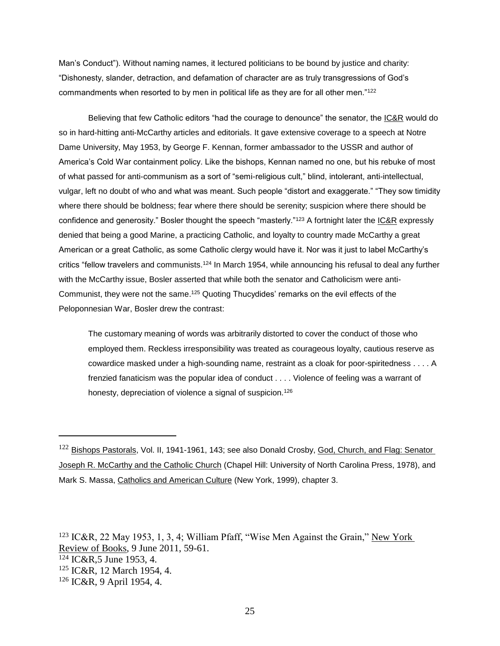Man's Conduct"). Without naming names, it lectured politicians to be bound by justice and charity: "Dishonesty, slander, detraction, and defamation of character are as truly transgressions of God's commandments when resorted to by men in political life as they are for all other men."<sup>122</sup>

Believing that few Catholic editors "had the courage to denounce" the senator, the IC&R would do so in hard-hitting anti-McCarthy articles and editorials. It gave extensive coverage to a speech at Notre Dame University, May 1953, by George F. Kennan, former ambassador to the USSR and author of America's Cold War containment policy. Like the bishops, Kennan named no one, but his rebuke of most of what passed for anti-communism as a sort of "semi-religious cult," blind, intolerant, anti-intellectual, vulgar, left no doubt of who and what was meant. Such people "distort and exaggerate." "They sow timidity where there should be boldness; fear where there should be serenity; suspicion where there should be confidence and generosity." Bosler thought the speech "masterly."<sup>123</sup> A fortnight later the IC&R expressly denied that being a good Marine, a practicing Catholic, and loyalty to country made McCarthy a great American or a great Catholic, as some Catholic clergy would have it. Nor was it just to label McCarthy's critics "fellow travelers and communists.<sup>124</sup> In March 1954, while announcing his refusal to deal any further with the McCarthy issue, Bosler asserted that while both the senator and Catholicism were anti-Communist, they were not the same.<sup>125</sup> Quoting Thucydides' remarks on the evil effects of the Peloponnesian War, Bosler drew the contrast:

The customary meaning of words was arbitrarily distorted to cover the conduct of those who employed them. Reckless irresponsibility was treated as courageous loyalty, cautious reserve as cowardice masked under a high-sounding name, restraint as a cloak for poor-spiritedness . . . . A frenzied fanaticism was the popular idea of conduct . . . . Violence of feeling was a warrant of honesty, depreciation of violence a signal of suspicion.<sup>126</sup>

 $\overline{a}$ 

 IC&R, 22 May 1953, 1, 3, 4; William Pfaff, "Wise Men Against the Grain," New York Review of Books, 9 June 2011, 59-61. IC&R,5 June 1953, 4. IC&R, 12 March 1954, 4. IC&R, 9 April 1954, 4.

<sup>&</sup>lt;sup>122</sup> Bishops Pastorals, Vol. II, 1941-1961, 143; see also Donald Crosby, God, Church, and Flag: Senator Joseph R. McCarthy and the Catholic Church (Chapel Hill: University of North Carolina Press, 1978), and Mark S. Massa, Catholics and American Culture (New York, 1999), chapter 3.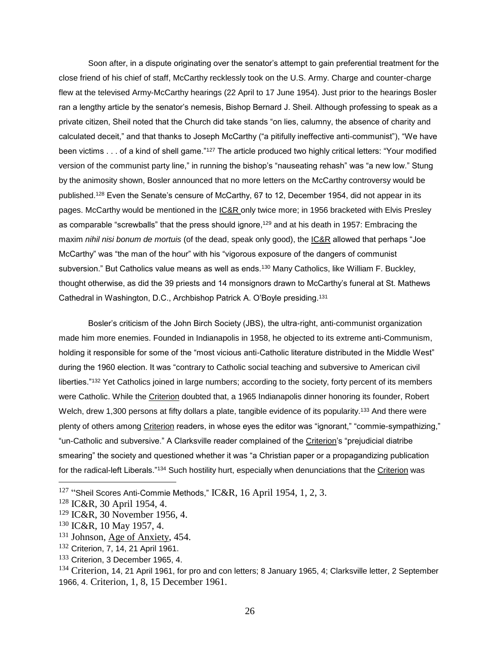Soon after, in a dispute originating over the senator's attempt to gain preferential treatment for the close friend of his chief of staff, McCarthy recklessly took on the U.S. Army. Charge and counter-charge flew at the televised Army-McCarthy hearings (22 April to 17 June 1954). Just prior to the hearings Bosler ran a lengthy article by the senator's nemesis, Bishop Bernard J. Sheil. Although professing to speak as a private citizen, Sheil noted that the Church did take stands "on lies, calumny, the absence of charity and calculated deceit," and that thanks to Joseph McCarthy ("a pitifully ineffective anti-communist"), "We have been victims . . . of a kind of shell game."<sup>127</sup> The article produced two highly critical letters: "Your modified version of the communist party line," in running the bishop's "nauseating rehash" was "a new low." Stung by the animosity shown, Bosler announced that no more letters on the McCarthy controversy would be published.<sup>128</sup> Even the Senate's censure of McCarthy, 67 to 12, December 1954, did not appear in its pages. McCarthy would be mentioned in the IC&R only twice more; in 1956 bracketed with Elvis Presley as comparable "screwballs" that the press should ignore,<sup>129</sup> and at his death in 1957: Embracing the maxim *nihil nisi bonum de mortuis* (of the dead, speak only good), the IC&R allowed that perhaps "Joe McCarthy" was "the man of the hour" with his "vigorous exposure of the dangers of communist subversion." But Catholics value means as well as ends.<sup>130</sup> Many Catholics, like William F. Buckley, thought otherwise, as did the 39 priests and 14 monsignors drawn to McCarthy's funeral at St. Mathews Cathedral in Washington, D.C., Archbishop Patrick A. O'Boyle presiding.<sup>131</sup>

Bosler's criticism of the John Birch Society (JBS), the ultra-right, anti-communist organization made him more enemies. Founded in Indianapolis in 1958, he objected to its extreme anti-Communism, holding it responsible for some of the "most vicious anti-Catholic literature distributed in the Middle West" during the 1960 election. It was "contrary to Catholic social teaching and subversive to American civil liberties."<sup>132</sup> Yet Catholics joined in large numbers; according to the society, forty percent of its members were Catholic. While the Criterion doubted that, a 1965 Indianapolis dinner honoring its founder, Robert Welch, drew 1,300 persons at fifty dollars a plate, tangible evidence of its popularity.<sup>133</sup> And there were plenty of others among Criterion readers, in whose eyes the editor was "ignorant," "commie-sympathizing," "un-Catholic and subversive." A Clarksville reader complained of the Criterion's "prejudicial diatribe smearing" the society and questioned whether it was "a Christian paper or a propagandizing publication for the radical-left Liberals."<sup>134</sup> Such hostility hurt, especially when denunciations that the Criterion was

 $127$  "Sheil Scores Anti-Commie Methods," IC&R, 16 April 1954, 1, 2, 3.

<sup>128</sup> IC&R, 30 April 1954, 4.

<sup>129</sup> IC&R, 30 November 1956, 4.

<sup>130</sup> IC&R, 10 May 1957, 4.

<sup>&</sup>lt;sup>131</sup> Johnson, Age of Anxiety, 454.

<sup>132</sup> Criterion, 7, 14, 21 April 1961.

 $133$  Criterion, 3 December 1965, 4.

<sup>&</sup>lt;sup>134</sup> Criterion, 14, 21 April 1961, for pro and con letters; 8 January 1965, 4; Clarksville letter, 2 September 1966, 4. Criterion, 1, 8, 15 December 1961.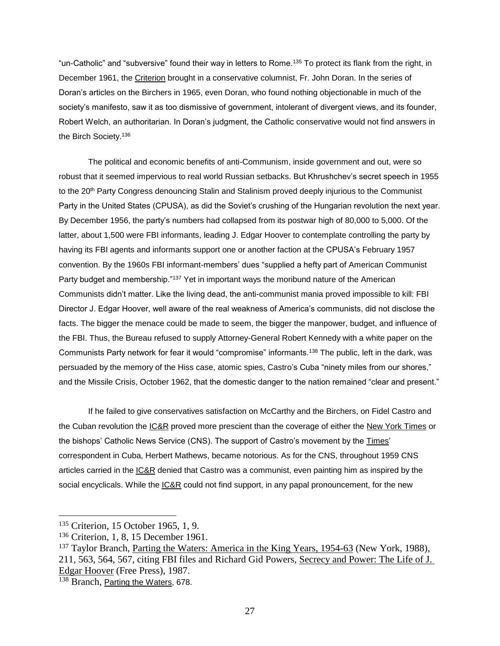"un-Catholic" and "subversive" found their way in letters to Rome.<sup>135</sup> To protect its flank from the right, in December 1961, the Criterion brought in a conservative columnist, Fr. John Doran. In the series of Doran's articles on the Birchers in 1965, even Doran, who found nothing objectionable in much of the society's manifesto, saw it as too dismissive of government, intolerant of divergent views, and its founder, Robert Welch, an authoritarian. In Doran's judgment, the Catholic conservative would not find answers in the Birch Society.<sup>136</sup>

The political and economic benefits of anti-Communism, inside government and out, were so robust that it seemed impervious to real world Russian setbacks. But Khrushchev's secret speech in 1955 to the 20<sup>th</sup> Party Congress denouncing Stalin and Stalinism proved deeply injurious to the Communist Party in the United States (CPUSA), as did the Soviet's crushing of the Hungarian revolution the next year. By December 1956, the party's numbers had collapsed from its postwar high of 80,000 to 5,000. Of the latter, about 1,500 were FBI informants, leading J. Edgar Hoover to contemplate controlling the party by having its FBI agents and informants support one or another faction at the CPUSA's February 1957 convention. By the 1960s FBI informant-members' dues "supplied a hefty part of American Communist Party budget and membership."<sup>137</sup> Yet in important ways the moribund nature of the American Communists didn't matter. Like the living dead, the anti-communist mania proved impossible to kill: FBI Director J. Edgar Hoover, well aware of the real weakness of America's communists, did not disclose the facts. The bigger the menace could be made to seem, the bigger the manpower, budget, and influence of the FBI. Thus, the Bureau refused to supply Attorney-General Robert Kennedy with a white paper on the Communists Party network for fear it would "compromise" informants.<sup>138</sup> The public, left in the dark, was persuaded by the memory of the Hiss case, atomic spies, Castro's Cuba "ninety miles from our shores," and the Missile Crisis, October 1962, that the domestic danger to the nation remained "clear and present."

If he failed to give conservatives satisfaction on McCarthy and the Birchers, on Fidel Castro and the Cuban revolution the IC&R proved more prescient than the coverage of either the New York Times or the bishops' Catholic News Service (CNS). The support of Castro's movement by the Times' correspondent in Cuba, Herbert Mathews, became notorious. As for the CNS, throughout 1959 CNS articles carried in the IC&R denied that Castro was a communist, even painting him as inspired by the social encyclicals. While the **IC&R** could not find support, in any papal pronouncement, for the new

<sup>135</sup> Criterion, 15 October 1965, 1, 9.

<sup>&</sup>lt;sup>136</sup> Criterion, 1, 8, 15 December 1961.

<sup>137</sup> Taylor Branch, Parting the Waters: America in the King Years, 1954-63 (New York, 1988), 211, 563, 564, 567, citing FBI files and Richard Gid Powers, Secrecy and Power: The Life of J. Edgar Hoover (Free Press), 1987.

<sup>&</sup>lt;sup>138</sup> Branch, Parting the Waters, 678.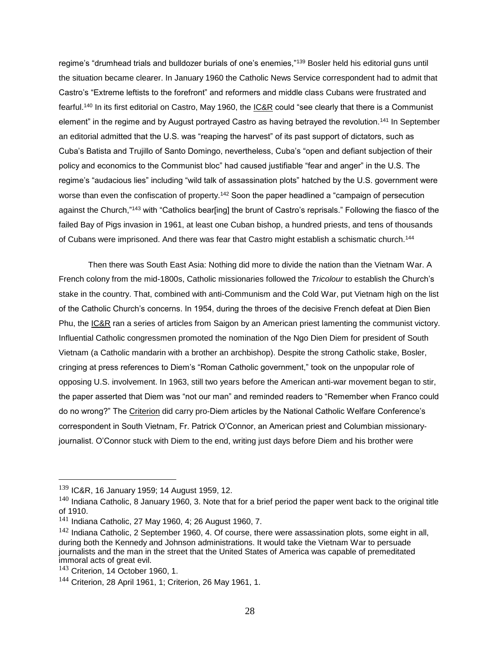regime's "drumhead trials and bulldozer burials of one's enemies,"<sup>139</sup> Bosler held his editorial guns until the situation became clearer. In January 1960 the Catholic News Service correspondent had to admit that Castro's "Extreme leftists to the forefront" and reformers and middle class Cubans were frustrated and fearful.<sup>140</sup> In its first editorial on Castro, May 1960, the IC&R could "see clearly that there is a Communist element" in the regime and by August portrayed Castro as having betrayed the revolution.<sup>141</sup> In September an editorial admitted that the U.S. was "reaping the harvest" of its past support of dictators, such as Cuba's Batista and Trujillo of Santo Domingo, nevertheless, Cuba's "open and defiant subjection of their policy and economics to the Communist bloc" had caused justifiable "fear and anger" in the U.S. The regime's "audacious lies" including "wild talk of assassination plots" hatched by the U.S. government were worse than even the confiscation of property.<sup>142</sup> Soon the paper headlined a "campaign of persecution" against the Church,"<sup>143</sup> with "Catholics bear[ing] the brunt of Castro's reprisals." Following the fiasco of the failed Bay of Pigs invasion in 1961, at least one Cuban bishop, a hundred priests, and tens of thousands of Cubans were imprisoned. And there was fear that Castro might establish a schismatic church.<sup>144</sup>

Then there was South East Asia: Nothing did more to divide the nation than the Vietnam War. A French colony from the mid-1800s, Catholic missionaries followed the *Tricolour* to establish the Church's stake in the country. That, combined with anti-Communism and the Cold War, put Vietnam high on the list of the Catholic Church's concerns. In 1954, during the throes of the decisive French defeat at Dien Bien Phu, the IC&R ran a series of articles from Saigon by an American priest lamenting the communist victory. Influential Catholic congressmen promoted the nomination of the Ngo Dien Diem for president of South Vietnam (a Catholic mandarin with a brother an archbishop). Despite the strong Catholic stake, Bosler, cringing at press references to Diem's "Roman Catholic government," took on the unpopular role of opposing U.S. involvement. In 1963, still two years before the American anti-war movement began to stir, the paper asserted that Diem was "not our man" and reminded readers to "Remember when Franco could do no wrong?" The Criterion did carry pro-Diem articles by the National Catholic Welfare Conference's correspondent in South Vietnam, Fr. Patrick O'Connor, an American priest and Columbian missionaryjournalist. O'Connor stuck with Diem to the end, writing just days before Diem and his brother were

<sup>139</sup> IC&R, 16 January 1959; 14 August 1959, 12.

 $140$  Indiana Catholic, 8 January 1960, 3. Note that for a brief period the paper went back to the original title of 1910.

 $141$  Indiana Catholic, 27 May 1960, 4; 26 August 1960, 7.

 $142$  Indiana Catholic, 2 September 1960, 4. Of course, there were assassination plots, some eight in all, during both the Kennedy and Johnson administrations. It would take the Vietnam War to persuade journalists and the man in the street that the United States of America was capable of premeditated immoral acts of great evil.

 $143$  Criterion, 14 October 1960, 1.

<sup>144</sup> Criterion, 28 April 1961, 1; Criterion, 26 May 1961, 1.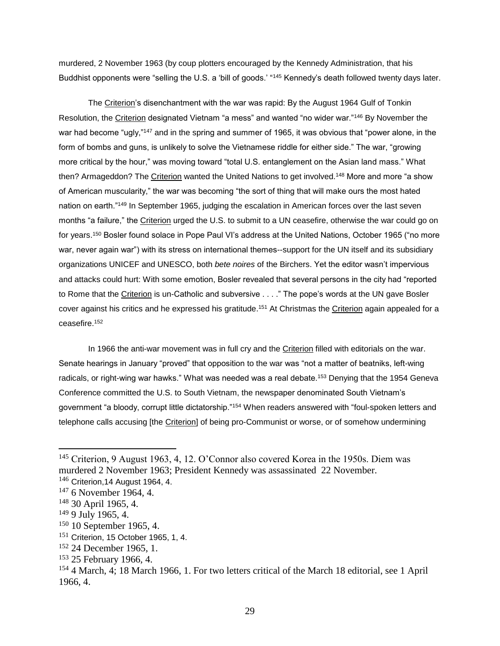murdered, 2 November 1963 (by coup plotters encouraged by the Kennedy Administration, that his Buddhist opponents were "selling the U.S. a 'bill of goods.' "<sup>145</sup> Kennedy's death followed twenty days later.

The Criterion's disenchantment with the war was rapid: By the August 1964 Gulf of Tonkin Resolution, the Criterion designated Vietnam "a mess" and wanted "no wider war."<sup>146</sup> By November the war had become "ugly,"<sup>147</sup> and in the spring and summer of 1965, it was obvious that "power alone, in the form of bombs and guns, is unlikely to solve the Vietnamese riddle for either side." The war, "growing more critical by the hour," was moving toward "total U.S. entanglement on the Asian land mass." What then? Armageddon? The Criterion wanted the United Nations to get involved.<sup>148</sup> More and more "a show of American muscularity," the war was becoming "the sort of thing that will make ours the most hated nation on earth."<sup>149</sup> In September 1965, judging the escalation in American forces over the last seven months "a failure," the Criterion urged the U.S. to submit to a UN ceasefire, otherwise the war could go on for years.<sup>150</sup> Bosler found solace in Pope Paul VI's address at the United Nations, October 1965 ("no more war, never again war") with its stress on international themes--support for the UN itself and its subsidiary organizations UNICEF and UNESCO, both *bete noires* of the Birchers. Yet the editor wasn't impervious and attacks could hurt: With some emotion, Bosler revealed that several persons in the city had "reported to Rome that the Criterion is un-Catholic and subversive . . . ." The pope's words at the UN gave Bosler cover against his critics and he expressed his gratitude.<sup>151</sup> At Christmas the <u>Criterion</u> again appealed for a ceasefire.<sup>152</sup>

In 1966 the anti-war movement was in full cry and the Criterion filled with editorials on the war. Senate hearings in January "proved" that opposition to the war was "not a matter of beatniks, left-wing radicals, or right-wing war hawks." What was needed was a real debate.<sup>153</sup> Denying that the 1954 Geneva Conference committed the U.S. to South Vietnam, the newspaper denominated South Vietnam's government "a bloody, corrupt little dictatorship."<sup>154</sup> When readers answered with "foul-spoken letters and telephone calls accusing [the Criterion] of being pro-Communist or worse, or of somehow undermining

<sup>145</sup> Criterion, 9 August 1963, 4, 12. O'Connor also covered Korea in the 1950s. Diem was murdered 2 November 1963; President Kennedy was assassinated 22 November.

<sup>146</sup> Criterion, 14 August 1964, 4.

<sup>147</sup> 6 November 1964, 4.

<sup>148</sup> 30 April 1965, 4.

<sup>149</sup> 9 July 1965, 4.

<sup>150</sup> 10 September 1965, 4.

 $151$  Criterion, 15 October 1965, 1, 4.

<sup>152</sup> 24 December 1965, 1.

<sup>&</sup>lt;sup>153</sup> 25 February 1966, 4.

<sup>154</sup> 4 March, 4; 18 March 1966, 1. For two letters critical of the March 18 editorial, see 1 April 1966, 4.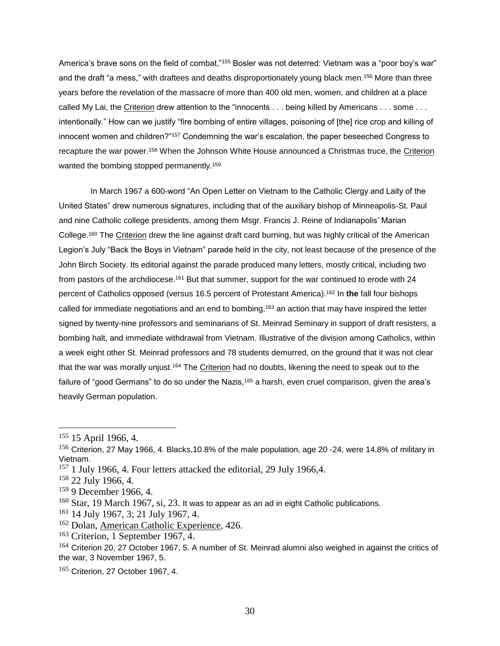America's brave sons on the field of combat,"155 Bosler was not deterred: Vietnam was a "poor boy's war" and the draft "a mess," with draftees and deaths disproportionately young black men.<sup>156</sup> More than three years before the revelation of the massacre of more than 400 old men, women, and children at a place called My Lai, the Criterion drew attention to the "innocents . . . being killed by Americans . . . some . . . intentionally." How can we justify "fire bombing of entire villages, poisoning of [the] rice crop and killing of innocent women and children?"<sup>157</sup> Condemning the war's escalation, the paper beseeched Congress to recapture the war power.<sup>158</sup> When the Johnson White House announced a Christmas truce, the Criterion wanted the bombing stopped permanently.<sup>159</sup>

In March 1967 a 600-word "An Open Letter on Vietnam to the Catholic Clergy and Laity of the United States" drew numerous signatures, including that of the auxiliary bishop of Minneapolis-St. Paul and nine Catholic college presidents, among them Msgr. Francis J. Reine of Indianapolis' Marian College.<sup>160</sup> The <u>Criterion</u> drew the line against draft card burning, but was highly critical of the American Legion's July "Back the Boys in Vietnam" parade held in the city, not least because of the presence of the John Birch Society. Its editorial against the parade produced many letters, mostly critical, including two from pastors of the archdiocese.<sup>161</sup> But that summer, support for the war continued to erode with 24 percent of Catholics opposed (versus 16.5 percent of Protestant America). <sup>162</sup> In **the** fall four bishops called for immediate negotiations and an end to bombing,<sup>163</sup> an action that may have inspired the letter signed by twenty-nine professors and seminarians of St. Meinrad Seminary in support of draft resisters, a bombing halt, and immediate withdrawal from Vietnam. Illustrative of the division among Catholics, within a week eight other St. Meinrad professors and 78 students demurred, on the ground that it was not clear that the war was morally unjust.<sup>164</sup> The Criterion had no doubts, likening the need to speak out to the failure of "good Germans" to do so under the Nazis,<sup>165</sup> a harsh, even cruel comparison, given the area's heavily German population.

 $155$  15 April 1966, 4.

<sup>156</sup> Criterion, 27 May 1966, 4. Blacks, 10.8% of the male population, age 20 -24, were 14.8% of military in Vietnam.

<sup>&</sup>lt;sup>157</sup> 1 July 1966, 4. Four letters attacked the editorial, 29 July 1966, 4.

<sup>158</sup> 22 July 1966, 4.

<sup>159</sup> 9 December 1966, 4.

 $160$  Star, 19 March 1967, si, 23. It was to appear as an ad in eight Catholic publications.

<sup>161</sup> 14 July 1967, 3; 21 July 1967, 4.

<sup>162</sup> Dolan, American Catholic Experience, 426.

<sup>163</sup> Criterion, 1 September 1967, 4.

<sup>&</sup>lt;sup>164</sup> Criterion 20, 27 October 1967, 5. A number of St. Meinrad alumni also weighed in against the critics of the war, 3 November 1967, 5.

 $165$  Criterion, 27 October 1967, 4.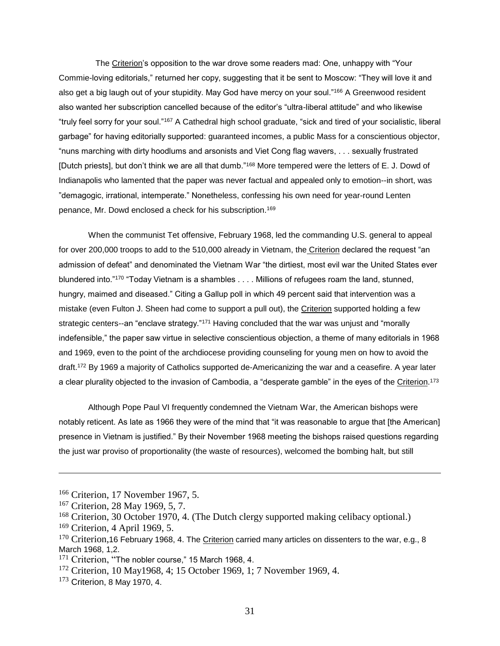The Criterion's opposition to the war drove some readers mad: One, unhappy with "Your Commie-loving editorials," returned her copy, suggesting that it be sent to Moscow: "They will love it and also get a big laugh out of your stupidity. May God have mercy on your soul."<sup>166</sup> A Greenwood resident also wanted her subscription cancelled because of the editor's "ultra-liberal attitude" and who likewise "truly feel sorry for your soul."<sup>167</sup> A Cathedral high school graduate, "sick and tired of your socialistic, liberal garbage" for having editorially supported: guaranteed incomes, a public Mass for a conscientious objector, "nuns marching with dirty hoodlums and arsonists and Viet Cong flag wavers, . . . sexually frustrated [Dutch priests], but don't think we are all that dumb."<sup>168</sup> More tempered were the letters of E. J. Dowd of Indianapolis who lamented that the paper was never factual and appealed only to emotion--in short, was "demagogic, irrational, intemperate." Nonetheless, confessing his own need for year-round Lenten penance, Mr. Dowd enclosed a check for his subscription.<sup>169</sup>

When the communist Tet offensive, February 1968, led the commanding U.S. general to appeal for over 200,000 troops to add to the 510,000 already in Vietnam, the Criterion declared the request "an admission of defeat" and denominated the Vietnam War "the dirtiest, most evil war the United States ever blundered into."<sup>170</sup> "Today Vietnam is a shambles . . . . Millions of refugees roam the land, stunned, hungry, maimed and diseased." Citing a Gallup poll in which 49 percent said that intervention was a mistake (even Fulton J. Sheen had come to support a pull out), the Criterion supported holding a few strategic centers--an "enclave strategy."<sup>171</sup> Having concluded that the war was unjust and "morally indefensible," the paper saw virtue in selective conscientious objection, a theme of many editorials in 1968 and 1969, even to the point of the archdiocese providing counseling for young men on how to avoid the draft.<sup>172</sup> By 1969 a majority of Catholics supported de-Americanizing the war and a ceasefire. A year later a clear plurality objected to the invasion of Cambodia, a "desperate gamble" in the eyes of the <u>Criterion</u>.<sup>173</sup>

Although Pope Paul VI frequently condemned the Vietnam War, the American bishops were notably reticent. As late as 1966 they were of the mind that "it was reasonable to argue that [the American] presence in Vietnam is justified." By their November 1968 meeting the bishops raised questions regarding the just war proviso of proportionality (the waste of resources), welcomed the bombing halt, but still

<sup>166</sup> Criterion, 17 November 1967, 5.

<sup>167</sup> Criterion, 28 May 1969, 5, 7.

<sup>168</sup> Criterion, 30 October 1970, 4. (The Dutch clergy supported making celibacy optional.)

<sup>169</sup> Criterion, 4 April 1969, 5.

 $170$  Criterion, 16 February 1968, 4. The Criterion carried many articles on dissenters to the war, e.g., 8 March 1968, 1,2.

<sup>&</sup>lt;sup>171</sup> Criterion, "The nobler course," 15 March 1968, 4.

<sup>172</sup> Criterion, 10 May1968, 4; 15 October 1969, 1; 7 November 1969, 4.

 $173$  Criterion, 8 May 1970, 4.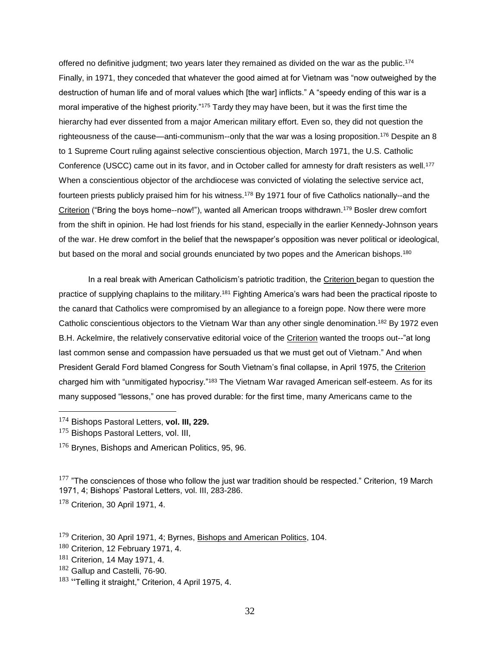offered no definitive judgment; two years later they remained as divided on the war as the public.<sup>174</sup> Finally, in 1971, they conceded that whatever the good aimed at for Vietnam was "now outweighed by the destruction of human life and of moral values which [the war] inflicts." A "speedy ending of this war is a moral imperative of the highest priority."<sup>175</sup> Tardy they may have been, but it was the first time the hierarchy had ever dissented from a major American military effort. Even so, they did not question the righteousness of the cause—anti-communism--only that the war was a losing proposition.<sup>176</sup> Despite an 8 to 1 Supreme Court ruling against selective conscientious objection, March 1971, the U.S. Catholic Conference (USCC) came out in its favor, and in October called for amnesty for draft resisters as well.<sup>177</sup> When a conscientious objector of the archdiocese was convicted of violating the selective service act, fourteen priests publicly praised him for his witness.<sup>178</sup> By 1971 four of five Catholics nationally--and the Criterion ("Bring the boys home--now!"), wanted all American troops withdrawn.<sup>179</sup> Bosler drew comfort from the shift in opinion. He had lost friends for his stand, especially in the earlier Kennedy-Johnson years of the war. He drew comfort in the belief that the newspaper's opposition was never political or ideological, but based on the moral and social grounds enunciated by two popes and the American bishops.<sup>180</sup>

In a real break with American Catholicism's patriotic tradition, the Criterion began to question the practice of supplying chaplains to the military.<sup>181</sup> Fighting America's wars had been the practical riposte to the canard that Catholics were compromised by an allegiance to a foreign pope. Now there were more Catholic conscientious objectors to the Vietnam War than any other single denomination.<sup>182</sup> By 1972 even B.H. Ackelmire, the relatively conservative editorial voice of the Criterion wanted the troops out--"at long last common sense and compassion have persuaded us that we must get out of Vietnam." And when President Gerald Ford blamed Congress for South Vietnam's final collapse, in April 1975, the Criterion charged him with "unmitigated hypocrisy."<sup>183</sup> The Vietnam War ravaged American self-esteem. As for its many supposed "lessons," one has proved durable: for the first time, many Americans came to the

- <sup>174</sup> Bishops Pastoral Letters, **vol. III, 229.**
- <sup>175</sup> Bishops Pastoral Letters, vol. III,

 $\overline{a}$ 

<sup>176</sup> Brynes, Bishops and American Politics, 95, 96.

 $177$  "The consciences of those who follow the just war tradition should be respected." Criterion, 19 March 1971, 4; Bishops' Pastoral Letters, vol. III, 283-286.

<sup>178</sup> Criterion, 30 April 1971, 4.

182 Gallup and Castelli, 76-90.

 $179$  Criterion, 30 April 1971, 4; Byrnes, Bishops and American Politics, 104.

 $180$  Criterion, 12 February 1971, 4.

 $181$  Criterion, 14 May 1971, 4.

 $183$  "Telling it straight," Criterion, 4 April 1975, 4.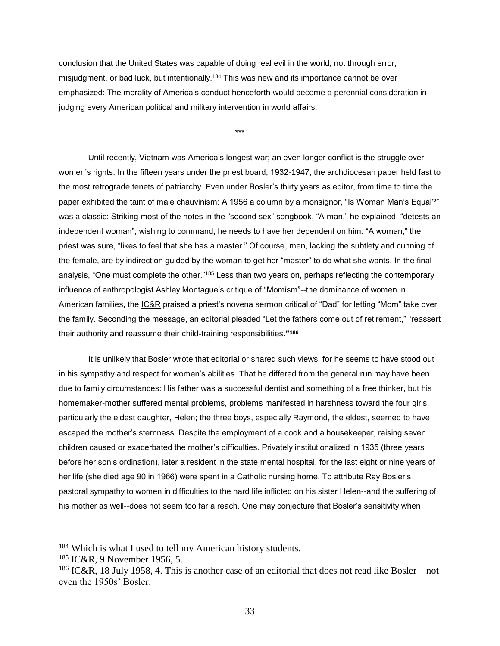conclusion that the United States was capable of doing real evil in the world, not through error, misjudgment, or bad luck, but intentionally.<sup>184</sup> This was new and its importance cannot be over emphasized: The morality of America's conduct henceforth would become a perennial consideration in judging every American political and military intervention in world affairs.

\*\*\*

Until recently, Vietnam was America's longest war; an even longer conflict is the struggle over women's rights. In the fifteen years under the priest board, 1932-1947, the archdiocesan paper held fast to the most retrograde tenets of patriarchy. Even under Bosler's thirty years as editor, from time to time the paper exhibited the taint of male chauvinism: A 1956 a column by a monsignor, "Is Woman Man's Equal?" was a classic: Striking most of the notes in the "second sex" songbook, "A man," he explained, "detests an independent woman"; wishing to command, he needs to have her dependent on him. "A woman," the priest was sure, "likes to feel that she has a master." Of course, men, lacking the subtlety and cunning of the female, are by indirection guided by the woman to get her "master" to do what she wants. In the final analysis, "One must complete the other."<sup>185</sup> Less than two years on, perhaps reflecting the contemporary influence of anthropologist Ashley Montague's critique of "Momism"--the dominance of women in American families, the IC&R praised a priest's novena sermon critical of "Dad" for letting "Mom" take over the family. Seconding the message, an editorial pleaded "Let the fathers come out of retirement," "reassert their authority and reassume their child-training responsibilities**."<sup>186</sup>**

It is unlikely that Bosler wrote that editorial or shared such views, for he seems to have stood out in his sympathy and respect for women's abilities. That he differed from the general run may have been due to family circumstances: His father was a successful dentist and something of a free thinker, but his homemaker-mother suffered mental problems, problems manifested in harshness toward the four girls, particularly the eldest daughter, Helen; the three boys, especially Raymond, the eldest, seemed to have escaped the mother's sternness. Despite the employment of a cook and a housekeeper, raising seven children caused or exacerbated the mother's difficulties. Privately institutionalized in 1935 (three years before her son's ordination), later a resident in the state mental hospital, for the last eight or nine years of her life (she died age 90 in 1966) were spent in a Catholic nursing home. To attribute Ray Bosler's pastoral sympathy to women in difficulties to the hard life inflicted on his sister Helen--and the suffering of his mother as well--does not seem too far a reach. One may conjecture that Bosler's sensitivity when

<sup>184</sup> Which is what I used to tell my American history students.

<sup>185</sup> IC&R, 9 November 1956, 5.

<sup>186</sup> IC&R, 18 July 1958, 4. This is another case of an editorial that does not read like Bosler—not even the 1950s' Bosler.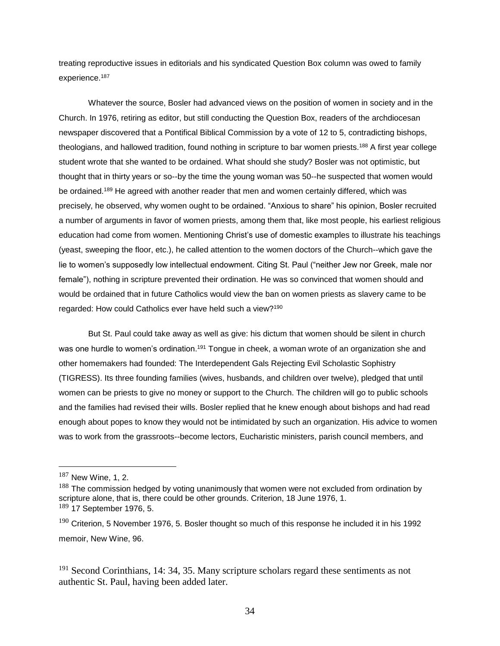treating reproductive issues in editorials and his syndicated Question Box column was owed to family experience.<sup>187</sup>

Whatever the source, Bosler had advanced views on the position of women in society and in the Church. In 1976, retiring as editor, but still conducting the Question Box, readers of the archdiocesan newspaper discovered that a Pontifical Biblical Commission by a vote of 12 to 5, contradicting bishops, theologians, and hallowed tradition, found nothing in scripture to bar women priests.<sup>188</sup> A first year college student wrote that she wanted to be ordained. What should she study? Bosler was not optimistic, but thought that in thirty years or so--by the time the young woman was 50--he suspected that women would be ordained.<sup>189</sup> He agreed with another reader that men and women certainly differed, which was precisely, he observed, why women ought to be ordained. "Anxious to share" his opinion, Bosler recruited a number of arguments in favor of women priests, among them that, like most people, his earliest religious education had come from women. Mentioning Christ's use of domestic examples to illustrate his teachings (yeast, sweeping the floor, etc.), he called attention to the women doctors of the Church--which gave the lie to women's supposedly low intellectual endowment. Citing St. Paul ("neither Jew nor Greek, male nor female"), nothing in scripture prevented their ordination. He was so convinced that women should and would be ordained that in future Catholics would view the ban on women priests as slavery came to be regarded: How could Catholics ever have held such a view?<sup>190</sup>

But St. Paul could take away as well as give: his dictum that women should be silent in church was one hurdle to women's ordination.<sup>191</sup> Tonque in cheek, a woman wrote of an organization she and other homemakers had founded: The Interdependent Gals Rejecting Evil Scholastic Sophistry (TIGRESS). Its three founding families (wives, husbands, and children over twelve), pledged that until women can be priests to give no money or support to the Church. The children will go to public schools and the families had revised their wills. Bosler replied that he knew enough about bishops and had read enough about popes to know they would not be intimidated by such an organization. His advice to women was to work from the grassroots--become lectors, Eucharistic ministers, parish council members, and

 $187$  New Wine, 1, 2.

 $188$  The commission hedged by voting unanimously that women were not excluded from ordination by scripture alone, that is, there could be other grounds. Criterion, 18 June 1976, 1.  $189$  17 September 1976, 5.

 $190$  Criterion. 5 November 1976, 5. Bosler thought so much of this response he included it in his 1992 memoir, New Wine, 96.

<sup>&</sup>lt;sup>191</sup> Second Corinthians, 14: 34, 35. Many scripture scholars regard these sentiments as not authentic St. Paul, having been added later.